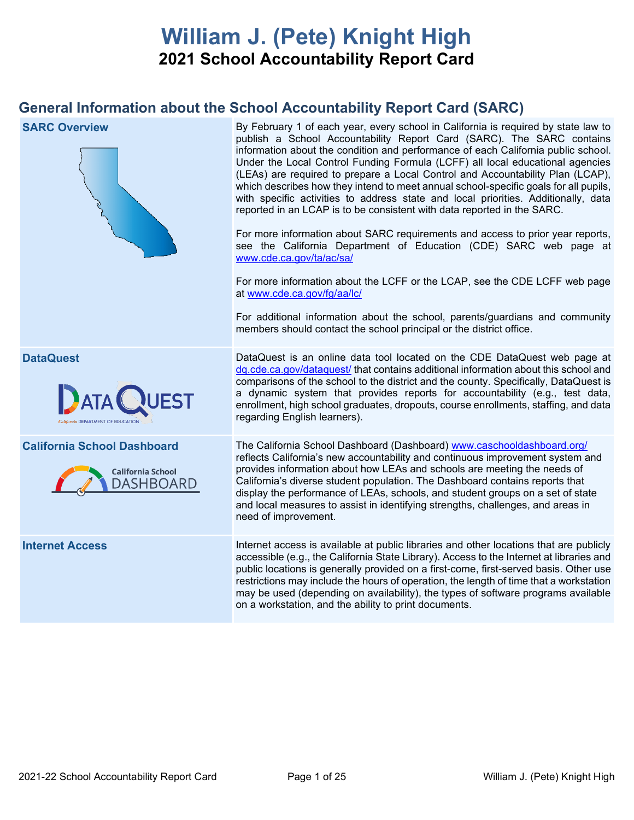# **William J. (Pete) Knight High 2021 School Accountability Report Card**

## **General Information about the School Accountability Report Card (SARC)**

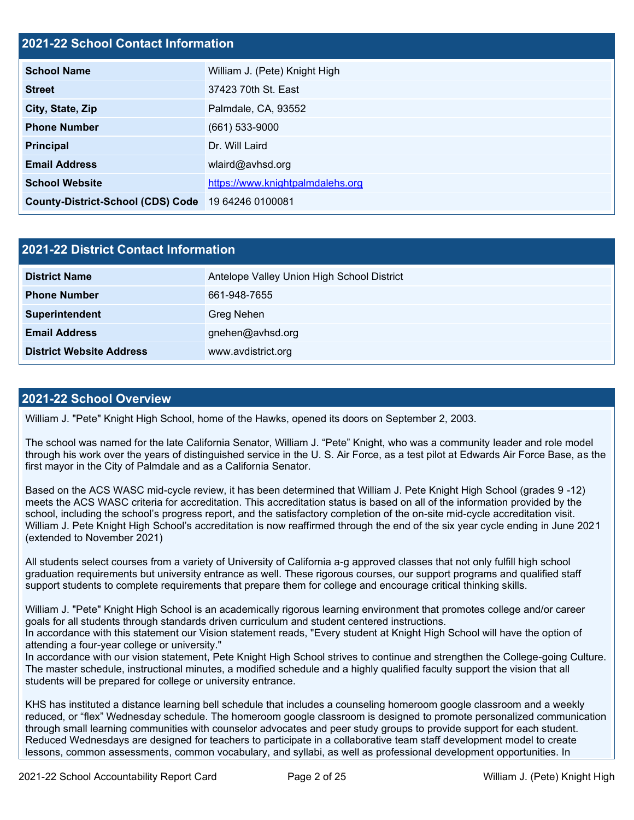### **2021-22 School Contact Information**

| <b>School Name</b>                       | William J. (Pete) Knight High    |  |  |  |
|------------------------------------------|----------------------------------|--|--|--|
| <b>Street</b>                            | 37423 70th St. East              |  |  |  |
| City, State, Zip                         | Palmdale, CA, 93552              |  |  |  |
| <b>Phone Number</b>                      | $(661)$ 533-9000                 |  |  |  |
| <b>Principal</b>                         | Dr. Will Laird                   |  |  |  |
| <b>Email Address</b>                     | wlaird@avhsd.org                 |  |  |  |
| <b>School Website</b>                    | https://www.knightpalmdalehs.org |  |  |  |
| <b>County-District-School (CDS) Code</b> | 19 64246 0100081                 |  |  |  |

| 2021-22 District Contact Information |                                            |  |  |  |
|--------------------------------------|--------------------------------------------|--|--|--|
| <b>District Name</b>                 | Antelope Valley Union High School District |  |  |  |
| <b>Phone Number</b>                  | 661-948-7655                               |  |  |  |
| Superintendent                       | Greg Nehen                                 |  |  |  |
| <b>Email Address</b>                 | gnehen@avhsd.org                           |  |  |  |
| <b>District Website Address</b>      | www.avdistrict.org                         |  |  |  |

#### **2021-22 School Overview**

William J. "Pete" Knight High School, home of the Hawks, opened its doors on September 2, 2003.

The school was named for the late California Senator, William J. "Pete" Knight, who was a community leader and role model through his work over the years of distinguished service in the U. S. Air Force, as a test pilot at Edwards Air Force Base, as the first mayor in the City of Palmdale and as a California Senator.

Based on the ACS WASC mid-cycle review, it has been determined that William J. Pete Knight High School (grades 9 -12) meets the ACS WASC criteria for accreditation. This accreditation status is based on all of the information provided by the school, including the school's progress report, and the satisfactory completion of the on-site mid-cycle accreditation visit. William J. Pete Knight High School's accreditation is now reaffirmed through the end of the six year cycle ending in June 2021 (extended to November 2021)

All students select courses from a variety of University of California a-g approved classes that not only fulfill high school graduation requirements but university entrance as well. These rigorous courses, our support programs and qualified staff support students to complete requirements that prepare them for college and encourage critical thinking skills.

William J. "Pete" Knight High School is an academically rigorous learning environment that promotes college and/or career goals for all students through standards driven curriculum and student centered instructions. In accordance with this statement our Vision statement reads, "Every student at Knight High School will have the option of

attending a four-year college or university." In accordance with our vision statement, Pete Knight High School strives to continue and strengthen the College-going Culture. The master schedule, instructional minutes, a modified schedule and a highly qualified faculty support the vision that all students will be prepared for college or university entrance.

KHS has instituted a distance learning bell schedule that includes a counseling homeroom google classroom and a weekly reduced, or "flex" Wednesday schedule. The homeroom google classroom is designed to promote personalized communication through small learning communities with counselor advocates and peer study groups to provide support for each student. Reduced Wednesdays are designed for teachers to participate in a collaborative team staff development model to create lessons, common assessments, common vocabulary, and syllabi, as well as professional development opportunities. In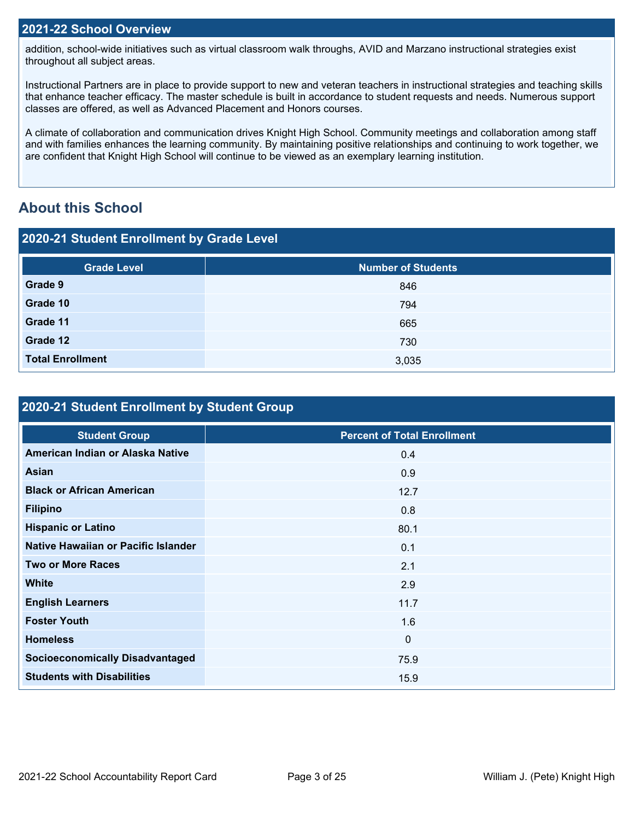#### **2021-22 School Overview**

addition, school-wide initiatives such as virtual classroom walk throughs, AVID and Marzano instructional strategies exist throughout all subject areas.

Instructional Partners are in place to provide support to new and veteran teachers in instructional strategies and teaching skills that enhance teacher efficacy. The master schedule is built in accordance to student requests and needs. Numerous support classes are offered, as well as Advanced Placement and Honors courses.

A climate of collaboration and communication drives Knight High School. Community meetings and collaboration among staff and with families enhances the learning community. By maintaining positive relationships and continuing to work together, we are confident that Knight High School will continue to be viewed as an exemplary learning institution.

## **About this School**

#### **2020-21 Student Enrollment by Grade Level**

| <b>Grade Level</b>      | <b>Number of Students</b> |
|-------------------------|---------------------------|
| Grade 9                 | 846                       |
| Grade 10                | 794                       |
| Grade 11                | 665                       |
| Grade 12                | 730                       |
| <b>Total Enrollment</b> | 3,035                     |

## **2020-21 Student Enrollment by Student Group**

| <b>Student Group</b>                   | <b>Percent of Total Enrollment</b> |
|----------------------------------------|------------------------------------|
| American Indian or Alaska Native       | 0.4                                |
| Asian                                  | 0.9                                |
| <b>Black or African American</b>       | 12.7                               |
| <b>Filipino</b>                        | 0.8                                |
| <b>Hispanic or Latino</b>              | 80.1                               |
| Native Hawaiian or Pacific Islander    | 0.1                                |
| <b>Two or More Races</b>               | 2.1                                |
| <b>White</b>                           | 2.9                                |
| <b>English Learners</b>                | 11.7                               |
| <b>Foster Youth</b>                    | 1.6                                |
| <b>Homeless</b>                        | $\mathbf 0$                        |
| <b>Socioeconomically Disadvantaged</b> | 75.9                               |
| <b>Students with Disabilities</b>      | 15.9                               |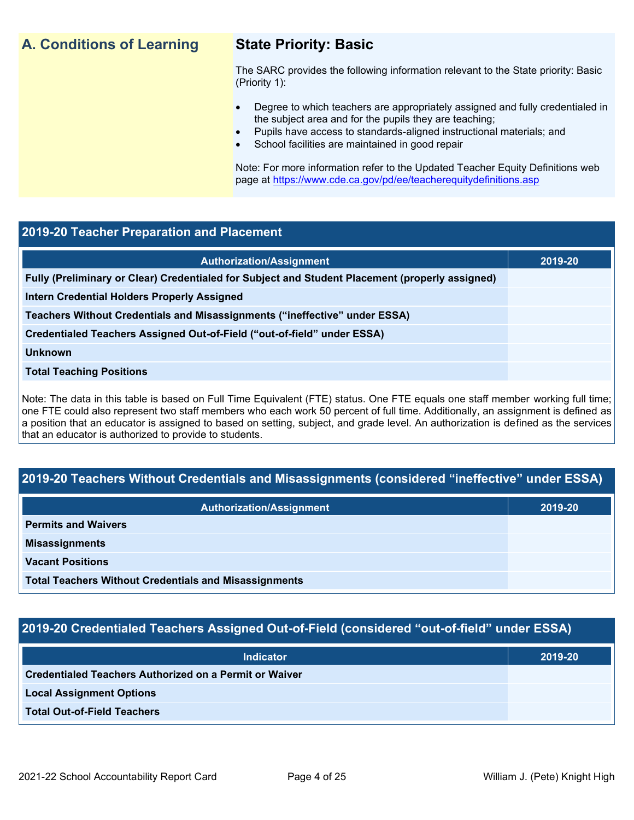## **A. Conditions of Learning State Priority: Basic**

The SARC provides the following information relevant to the State priority: Basic (Priority 1):

- Degree to which teachers are appropriately assigned and fully credentialed in the subject area and for the pupils they are teaching;
	- Pupils have access to standards-aligned instructional materials; and
- School facilities are maintained in good repair

Note: For more information refer to the Updated Teacher Equity Definitions web page at<https://www.cde.ca.gov/pd/ee/teacherequitydefinitions.asp>

#### **2019-20 Teacher Preparation and Placement**

| <b>Authorization/Assignment</b>                                                                 | 2019-20 |
|-------------------------------------------------------------------------------------------------|---------|
| Fully (Preliminary or Clear) Credentialed for Subject and Student Placement (properly assigned) |         |
| Intern Credential Holders Properly Assigned                                                     |         |
| Teachers Without Credentials and Misassignments ("ineffective" under ESSA)                      |         |
| Credentialed Teachers Assigned Out-of-Field ("out-of-field" under ESSA)                         |         |
| <b>Unknown</b>                                                                                  |         |
| <b>Total Teaching Positions</b>                                                                 |         |
|                                                                                                 |         |

Note: The data in this table is based on Full Time Equivalent (FTE) status. One FTE equals one staff member working full time; one FTE could also represent two staff members who each work 50 percent of full time. Additionally, an assignment is defined as a position that an educator is assigned to based on setting, subject, and grade level. An authorization is defined as the services that an educator is authorized to provide to students.

### **2019-20 Teachers Without Credentials and Misassignments (considered "ineffective" under ESSA)**

| <b>Authorization/Assignment</b>                              | 2019-20 |  |  |
|--------------------------------------------------------------|---------|--|--|
| <b>Permits and Waivers</b>                                   |         |  |  |
| <b>Misassignments</b>                                        |         |  |  |
| <b>Vacant Positions</b>                                      |         |  |  |
| <b>Total Teachers Without Credentials and Misassignments</b> |         |  |  |

### **2019-20 Credentialed Teachers Assigned Out-of-Field (considered "out-of-field" under ESSA)**

| <b>Indicator</b>                                       | 2019-20 |  |  |
|--------------------------------------------------------|---------|--|--|
| Credentialed Teachers Authorized on a Permit or Waiver |         |  |  |
| <b>Local Assignment Options</b>                        |         |  |  |
| <b>Total Out-of-Field Teachers</b>                     |         |  |  |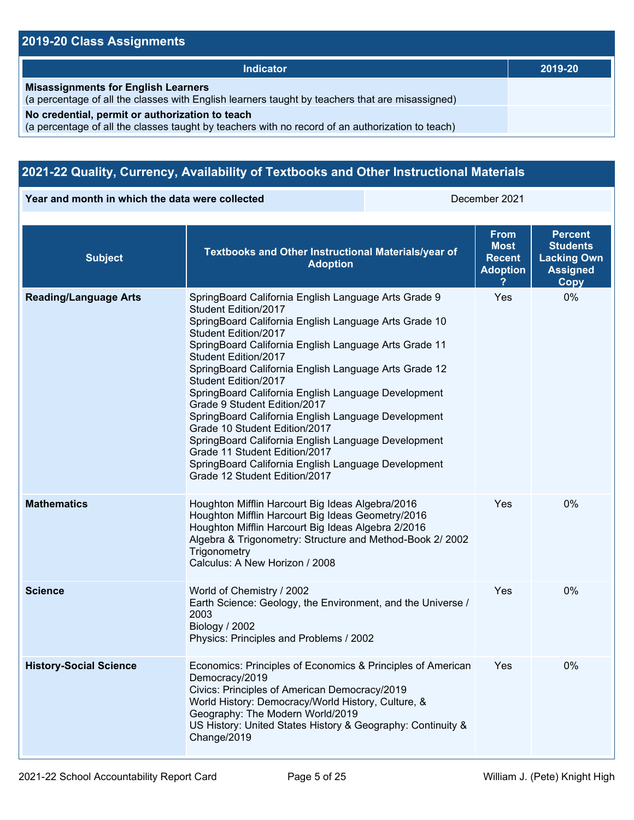## **2019-20 Class Assignments**

| Indicator                                                                                                                                           | 2019-20 |
|-----------------------------------------------------------------------------------------------------------------------------------------------------|---------|
| <b>Misassignments for English Learners</b><br>(a percentage of all the classes with English learners taught by teachers that are misassigned)       |         |
| No credential, permit or authorization to teach<br>(a percentage of all the classes taught by teachers with no record of an authorization to teach) |         |

## **2021-22 Quality, Currency, Availability of Textbooks and Other Instructional Materials**

**Year and month in which the data were collected** December 2021

| <b>Subject</b>                | Textbooks and Other Instructional Materials/year of<br><b>Adoption</b>                                                                                                                                                                                                                                                                                                                                                                                                                                                                                                                                                                                                                         | <b>From</b><br>Most<br><b>Recent</b><br><b>Adoption</b> | <b>Percent</b><br><b>Students</b><br><b>Lacking Own</b><br><b>Assigned</b><br>Copy |
|-------------------------------|------------------------------------------------------------------------------------------------------------------------------------------------------------------------------------------------------------------------------------------------------------------------------------------------------------------------------------------------------------------------------------------------------------------------------------------------------------------------------------------------------------------------------------------------------------------------------------------------------------------------------------------------------------------------------------------------|---------------------------------------------------------|------------------------------------------------------------------------------------|
| <b>Reading/Language Arts</b>  | SpringBoard California English Language Arts Grade 9<br>Student Edition/2017<br>SpringBoard California English Language Arts Grade 10<br>Student Edition/2017<br>SpringBoard California English Language Arts Grade 11<br>Student Edition/2017<br>SpringBoard California English Language Arts Grade 12<br>Student Edition/2017<br>SpringBoard California English Language Development<br>Grade 9 Student Edition/2017<br>SpringBoard California English Language Development<br>Grade 10 Student Edition/2017<br>SpringBoard California English Language Development<br>Grade 11 Student Edition/2017<br>SpringBoard California English Language Development<br>Grade 12 Student Edition/2017 | Yes                                                     | 0%                                                                                 |
| <b>Mathematics</b>            | Houghton Mifflin Harcourt Big Ideas Algebra/2016<br>Houghton Mifflin Harcourt Big Ideas Geometry/2016<br>Houghton Mifflin Harcourt Big Ideas Algebra 2/2016<br>Algebra & Trigonometry: Structure and Method-Book 2/ 2002<br>Trigonometry<br>Calculus: A New Horizon / 2008                                                                                                                                                                                                                                                                                                                                                                                                                     | Yes                                                     | 0%                                                                                 |
| <b>Science</b>                | World of Chemistry / 2002<br>Earth Science: Geology, the Environment, and the Universe /<br>2003<br>Biology / 2002<br>Physics: Principles and Problems / 2002                                                                                                                                                                                                                                                                                                                                                                                                                                                                                                                                  | Yes                                                     | 0%                                                                                 |
| <b>History-Social Science</b> | Economics: Principles of Economics & Principles of American<br>Democracy/2019<br>Civics: Principles of American Democracy/2019<br>World History: Democracy/World History, Culture, &<br>Geography: The Modern World/2019<br>US History: United States History & Geography: Continuity &<br>Change/2019                                                                                                                                                                                                                                                                                                                                                                                         | <b>Yes</b>                                              | 0%                                                                                 |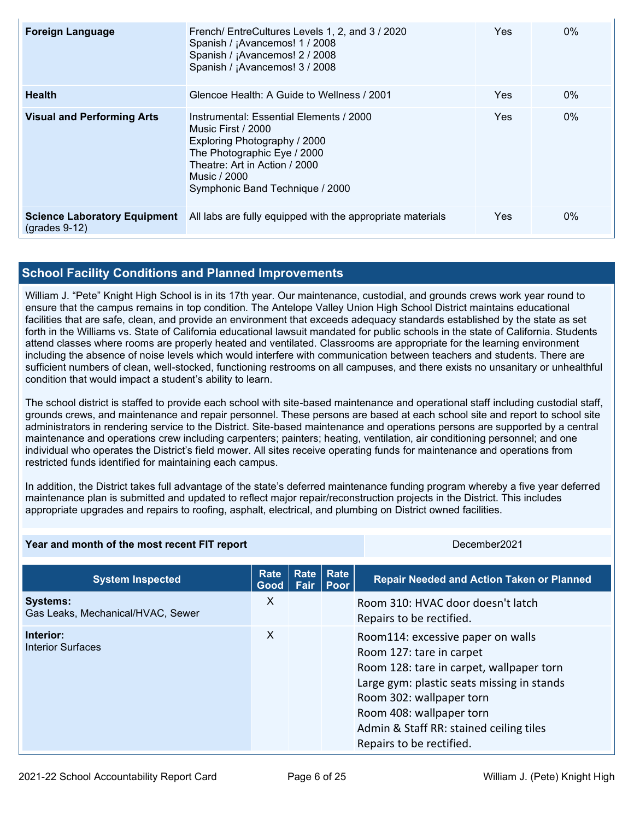| <b>Foreign Language</b>                                | French/ EntreCultures Levels 1, 2, and 3 / 2020<br>Spanish / ¡Avancemos! 1 / 2008<br>Spanish / ¡Avancemos! 2 / 2008<br>Spanish / ¡Avancemos! 3 / 2008                                                            | Yes | $0\%$ |
|--------------------------------------------------------|------------------------------------------------------------------------------------------------------------------------------------------------------------------------------------------------------------------|-----|-------|
| <b>Health</b>                                          | Glencoe Health: A Guide to Wellness / 2001                                                                                                                                                                       | Yes | $0\%$ |
| <b>Visual and Performing Arts</b>                      | Instrumental: Essential Elements / 2000<br>Music First / 2000<br>Exploring Photography / 2000<br>The Photographic Eye / 2000<br>Theatre: Art in Action / 2000<br>Music / 2000<br>Symphonic Band Technique / 2000 | Yes | $0\%$ |
| <b>Science Laboratory Equipment</b><br>$(grades 9-12)$ | All labs are fully equipped with the appropriate materials                                                                                                                                                       | Yes | $0\%$ |

### **School Facility Conditions and Planned Improvements**

William J. "Pete" Knight High School is in its 17th year. Our maintenance, custodial, and grounds crews work year round to ensure that the campus remains in top condition. The Antelope Valley Union High School District maintains educational facilities that are safe, clean, and provide an environment that exceeds adequacy standards established by the state as set forth in the Williams vs. State of California educational lawsuit mandated for public schools in the state of California. Students attend classes where rooms are properly heated and ventilated. Classrooms are appropriate for the learning environment including the absence of noise levels which would interfere with communication between teachers and students. There are sufficient numbers of clean, well-stocked, functioning restrooms on all campuses, and there exists no unsanitary or unhealthful condition that would impact a student's ability to learn.

The school district is staffed to provide each school with site-based maintenance and operational staff including custodial staff, grounds crews, and maintenance and repair personnel. These persons are based at each school site and report to school site administrators in rendering service to the District. Site-based maintenance and operations persons are supported by a central maintenance and operations crew including carpenters; painters; heating, ventilation, air conditioning personnel; and one individual who operates the District's field mower. All sites receive operating funds for maintenance and operations from restricted funds identified for maintaining each campus.

In addition, the District takes full advantage of the state's deferred maintenance funding program whereby a five year deferred maintenance plan is submitted and updated to reflect major repair/reconstruction projects in the District. This includes appropriate upgrades and repairs to roofing, asphalt, electrical, and plumbing on District owned facilities.

| Year and month of the most recent FIT report         |              |              | December2021 |                                                                                                                                                                                                                                                                                        |
|------------------------------------------------------|--------------|--------------|--------------|----------------------------------------------------------------------------------------------------------------------------------------------------------------------------------------------------------------------------------------------------------------------------------------|
| <b>System Inspected</b>                              | Rate<br>Good | Rate<br>Fair | Rate<br>Poor | <b>Repair Needed and Action Taken or Planned</b>                                                                                                                                                                                                                                       |
| <b>Systems:</b><br>Gas Leaks, Mechanical/HVAC, Sewer | X            |              |              | Room 310: HVAC door doesn't latch<br>Repairs to be rectified.                                                                                                                                                                                                                          |
| Interior:<br><b>Interior Surfaces</b>                | X            |              |              | Room114: excessive paper on walls<br>Room 127: tare in carpet<br>Room 128: tare in carpet, wallpaper torn<br>Large gym: plastic seats missing in stands<br>Room 302: wallpaper torn<br>Room 408: wallpaper torn<br>Admin & Staff RR: stained ceiling tiles<br>Repairs to be rectified. |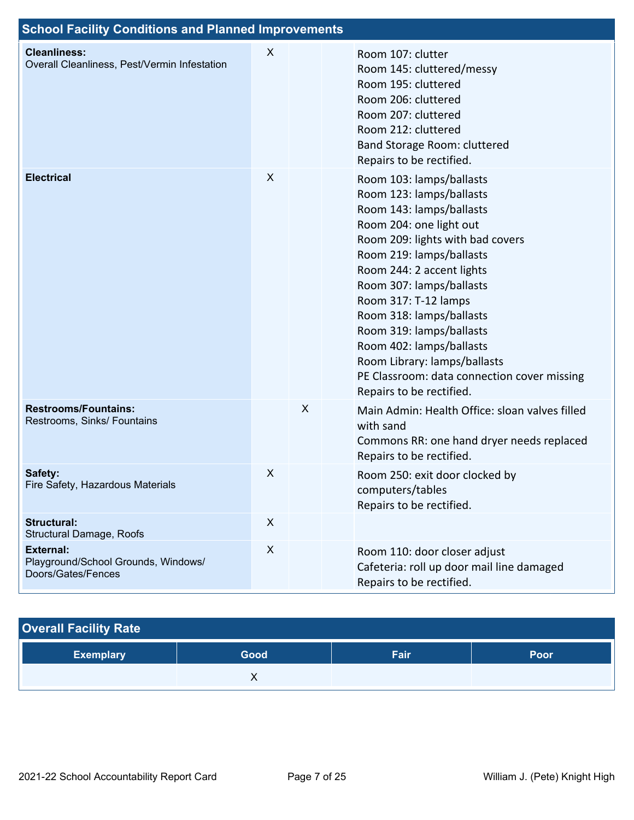| <b>School Facility Conditions and Planned Improvements</b>                    |   |   |                                                                                                                                                                                                                                                                                                                                                                                                                                                             |
|-------------------------------------------------------------------------------|---|---|-------------------------------------------------------------------------------------------------------------------------------------------------------------------------------------------------------------------------------------------------------------------------------------------------------------------------------------------------------------------------------------------------------------------------------------------------------------|
| <b>Cleanliness:</b><br>Overall Cleanliness, Pest/Vermin Infestation           | X |   | Room 107: clutter<br>Room 145: cluttered/messy<br>Room 195: cluttered<br>Room 206: cluttered<br>Room 207: cluttered<br>Room 212: cluttered<br>Band Storage Room: cluttered<br>Repairs to be rectified.                                                                                                                                                                                                                                                      |
| <b>Electrical</b>                                                             | X |   | Room 103: lamps/ballasts<br>Room 123: lamps/ballasts<br>Room 143: lamps/ballasts<br>Room 204: one light out<br>Room 209: lights with bad covers<br>Room 219: lamps/ballasts<br>Room 244: 2 accent lights<br>Room 307: lamps/ballasts<br>Room 317: T-12 lamps<br>Room 318: lamps/ballasts<br>Room 319: lamps/ballasts<br>Room 402: lamps/ballasts<br>Room Library: lamps/ballasts<br>PE Classroom: data connection cover missing<br>Repairs to be rectified. |
| <b>Restrooms/Fountains:</b><br>Restrooms, Sinks/ Fountains                    |   | X | Main Admin: Health Office: sloan valves filled<br>with sand<br>Commons RR: one hand dryer needs replaced<br>Repairs to be rectified.                                                                                                                                                                                                                                                                                                                        |
| Safety:<br>Fire Safety, Hazardous Materials                                   | X |   | Room 250: exit door clocked by<br>computers/tables<br>Repairs to be rectified.                                                                                                                                                                                                                                                                                                                                                                              |
| <b>Structural:</b><br>Structural Damage, Roofs                                | X |   |                                                                                                                                                                                                                                                                                                                                                                                                                                                             |
| <b>External:</b><br>Playground/School Grounds, Windows/<br>Doors/Gates/Fences | X |   | Room 110: door closer adjust<br>Cafeteria: roll up door mail line damaged<br>Repairs to be rectified.                                                                                                                                                                                                                                                                                                                                                       |

## **Overall Facility Rate**

| <b>Exemplary</b> | Good | Fair | Poor |
|------------------|------|------|------|
|                  |      |      |      |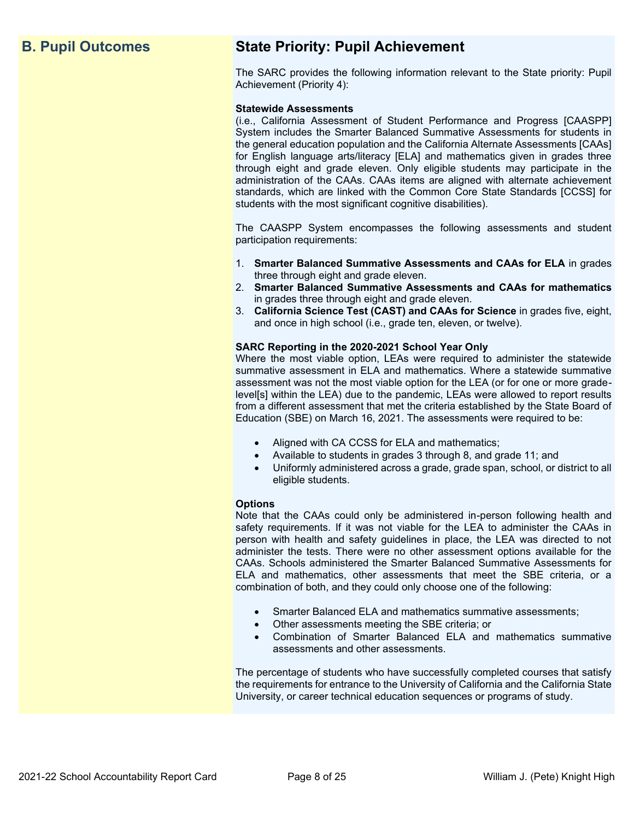## **B. Pupil Outcomes State Priority: Pupil Achievement**

The SARC provides the following information relevant to the State priority: Pupil Achievement (Priority 4):

#### **Statewide Assessments**

(i.e., California Assessment of Student Performance and Progress [CAASPP] System includes the Smarter Balanced Summative Assessments for students in the general education population and the California Alternate Assessments [CAAs] for English language arts/literacy [ELA] and mathematics given in grades three through eight and grade eleven. Only eligible students may participate in the administration of the CAAs. CAAs items are aligned with alternate achievement standards, which are linked with the Common Core State Standards [CCSS] for students with the most significant cognitive disabilities).

The CAASPP System encompasses the following assessments and student participation requirements:

- 1. **Smarter Balanced Summative Assessments and CAAs for ELA** in grades three through eight and grade eleven.
- 2. **Smarter Balanced Summative Assessments and CAAs for mathematics** in grades three through eight and grade eleven.
- 3. **California Science Test (CAST) and CAAs for Science** in grades five, eight, and once in high school (i.e., grade ten, eleven, or twelve).

#### **SARC Reporting in the 2020-2021 School Year Only**

Where the most viable option, LEAs were required to administer the statewide summative assessment in ELA and mathematics. Where a statewide summative assessment was not the most viable option for the LEA (or for one or more gradelevel[s] within the LEA) due to the pandemic, LEAs were allowed to report results from a different assessment that met the criteria established by the State Board of Education (SBE) on March 16, 2021. The assessments were required to be:

- Aligned with CA CCSS for ELA and mathematics;
- Available to students in grades 3 through 8, and grade 11; and
- Uniformly administered across a grade, grade span, school, or district to all eligible students.

#### **Options**

Note that the CAAs could only be administered in-person following health and safety requirements. If it was not viable for the LEA to administer the CAAs in person with health and safety guidelines in place, the LEA was directed to not administer the tests. There were no other assessment options available for the CAAs. Schools administered the Smarter Balanced Summative Assessments for ELA and mathematics, other assessments that meet the SBE criteria, or a combination of both, and they could only choose one of the following:

- Smarter Balanced ELA and mathematics summative assessments;
- Other assessments meeting the SBE criteria; or
- Combination of Smarter Balanced ELA and mathematics summative assessments and other assessments.

The percentage of students who have successfully completed courses that satisfy the requirements for entrance to the University of California and the California State University, or career technical education sequences or programs of study.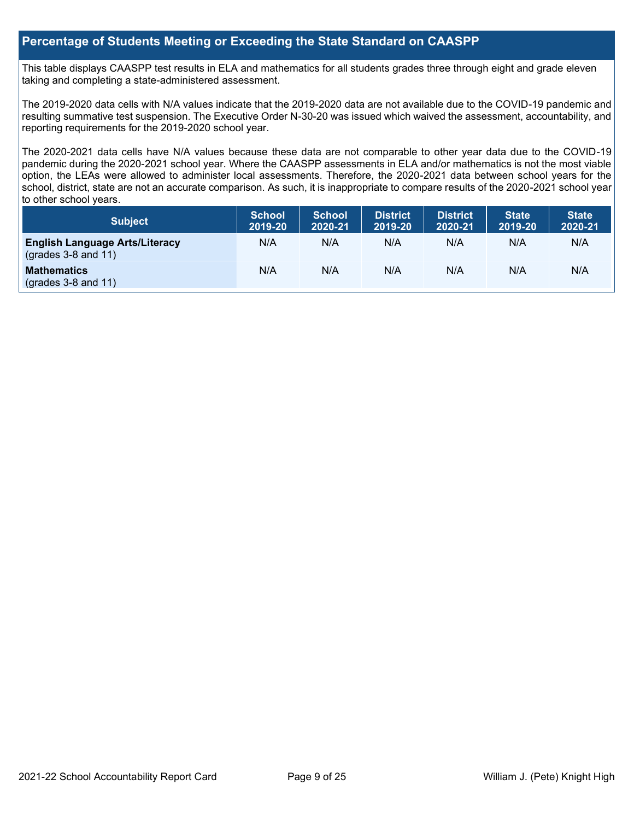#### **Percentage of Students Meeting or Exceeding the State Standard on CAASPP**

This table displays CAASPP test results in ELA and mathematics for all students grades three through eight and grade eleven taking and completing a state-administered assessment.

The 2019-2020 data cells with N/A values indicate that the 2019-2020 data are not available due to the COVID-19 pandemic and resulting summative test suspension. The Executive Order N-30-20 was issued which waived the assessment, accountability, and reporting requirements for the 2019-2020 school year.

The 2020-2021 data cells have N/A values because these data are not comparable to other year data due to the COVID-19 pandemic during the 2020-2021 school year. Where the CAASPP assessments in ELA and/or mathematics is not the most viable option, the LEAs were allowed to administer local assessments. Therefore, the 2020-2021 data between school years for the school, district, state are not an accurate comparison. As such, it is inappropriate to compare results of the 2020-2021 school year to other school years.

| <b>Subject</b>                                                       | <b>School</b><br>2019-20 | <b>School</b><br>2020-21 | <b>District</b><br>2019-20 | <b>District</b><br>2020-21 | <b>State</b><br>2019-20 | <b>State</b><br>2020-21 |
|----------------------------------------------------------------------|--------------------------|--------------------------|----------------------------|----------------------------|-------------------------|-------------------------|
| <b>English Language Arts/Literacy</b><br>$\left($ grades 3-8 and 11) | N/A                      | N/A                      | N/A                        | N/A                        | N/A                     | N/A                     |
| <b>Mathematics</b><br>$($ grades 3-8 and 11 $)$                      | N/A                      | N/A                      | N/A                        | N/A                        | N/A                     | N/A                     |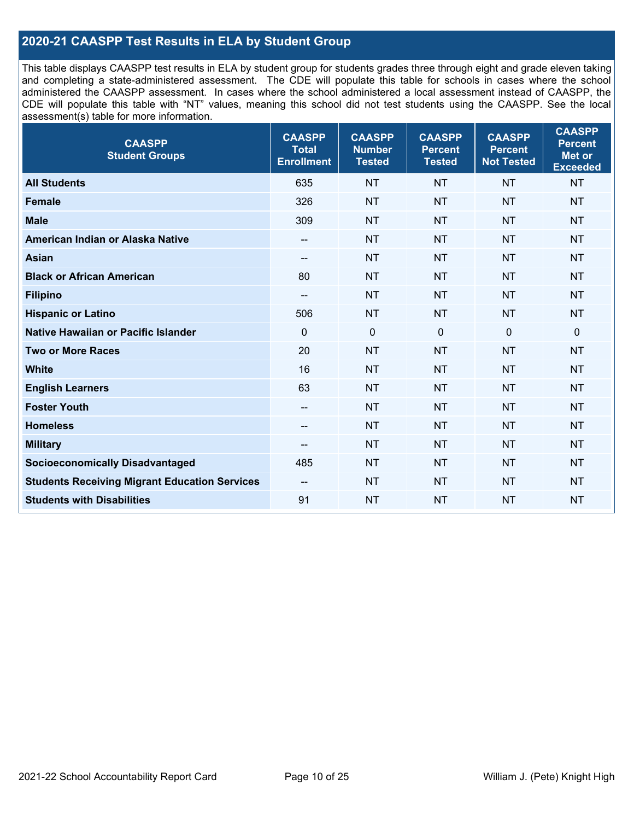## **2020-21 CAASPP Test Results in ELA by Student Group**

This table displays CAASPP test results in ELA by student group for students grades three through eight and grade eleven taking and completing a state-administered assessment. The CDE will populate this table for schools in cases where the school administered the CAASPP assessment. In cases where the school administered a local assessment instead of CAASPP, the CDE will populate this table with "NT" values, meaning this school did not test students using the CAASPP. See the local assessment(s) table for more information.

| <b>CAASPP</b><br><b>Student Groups</b>               | <b>CAASPP</b><br><b>Total</b><br><b>Enrollment</b> | <b>CAASPP</b><br><b>Number</b><br><b>Tested</b> | <b>CAASPP</b><br><b>Percent</b><br><b>Tested</b> | <b>CAASPP</b><br><b>Percent</b><br><b>Not Tested</b> | <b>CAASPP</b><br><b>Percent</b><br>Met or<br><b>Exceeded</b> |
|------------------------------------------------------|----------------------------------------------------|-------------------------------------------------|--------------------------------------------------|------------------------------------------------------|--------------------------------------------------------------|
| <b>All Students</b>                                  | 635                                                | <b>NT</b>                                       | <b>NT</b>                                        | <b>NT</b>                                            | <b>NT</b>                                                    |
| <b>Female</b>                                        | 326                                                | <b>NT</b>                                       | <b>NT</b>                                        | <b>NT</b>                                            | <b>NT</b>                                                    |
| <b>Male</b>                                          | 309                                                | <b>NT</b>                                       | <b>NT</b>                                        | <b>NT</b>                                            | <b>NT</b>                                                    |
| American Indian or Alaska Native                     | $\overline{\phantom{a}}$                           | <b>NT</b>                                       | <b>NT</b>                                        | <b>NT</b>                                            | <b>NT</b>                                                    |
| <b>Asian</b>                                         | --                                                 | <b>NT</b>                                       | <b>NT</b>                                        | <b>NT</b>                                            | <b>NT</b>                                                    |
| <b>Black or African American</b>                     | 80                                                 | <b>NT</b>                                       | <b>NT</b>                                        | <b>NT</b>                                            | <b>NT</b>                                                    |
| <b>Filipino</b>                                      | $\overline{\phantom{a}}$                           | <b>NT</b>                                       | <b>NT</b>                                        | <b>NT</b>                                            | <b>NT</b>                                                    |
| <b>Hispanic or Latino</b>                            | 506                                                | <b>NT</b>                                       | <b>NT</b>                                        | <b>NT</b>                                            | <b>NT</b>                                                    |
| Native Hawaiian or Pacific Islander                  | $\mathbf 0$                                        | $\mathbf 0$                                     | $\mathbf{0}$                                     | $\overline{0}$                                       | 0                                                            |
| <b>Two or More Races</b>                             | 20                                                 | <b>NT</b>                                       | <b>NT</b>                                        | <b>NT</b>                                            | <b>NT</b>                                                    |
| <b>White</b>                                         | 16                                                 | <b>NT</b>                                       | <b>NT</b>                                        | <b>NT</b>                                            | <b>NT</b>                                                    |
| <b>English Learners</b>                              | 63                                                 | <b>NT</b>                                       | <b>NT</b>                                        | <b>NT</b>                                            | <b>NT</b>                                                    |
| <b>Foster Youth</b>                                  | $\qquad \qquad -$                                  | <b>NT</b>                                       | <b>NT</b>                                        | <b>NT</b>                                            | <b>NT</b>                                                    |
| <b>Homeless</b>                                      | --                                                 | <b>NT</b>                                       | <b>NT</b>                                        | <b>NT</b>                                            | <b>NT</b>                                                    |
| <b>Military</b>                                      | --                                                 | <b>NT</b>                                       | <b>NT</b>                                        | <b>NT</b>                                            | <b>NT</b>                                                    |
| <b>Socioeconomically Disadvantaged</b>               | 485                                                | <b>NT</b>                                       | <b>NT</b>                                        | <b>NT</b>                                            | <b>NT</b>                                                    |
| <b>Students Receiving Migrant Education Services</b> | $\overline{\phantom{a}}$                           | <b>NT</b>                                       | <b>NT</b>                                        | <b>NT</b>                                            | <b>NT</b>                                                    |
| <b>Students with Disabilities</b>                    | 91                                                 | <b>NT</b>                                       | <b>NT</b>                                        | <b>NT</b>                                            | <b>NT</b>                                                    |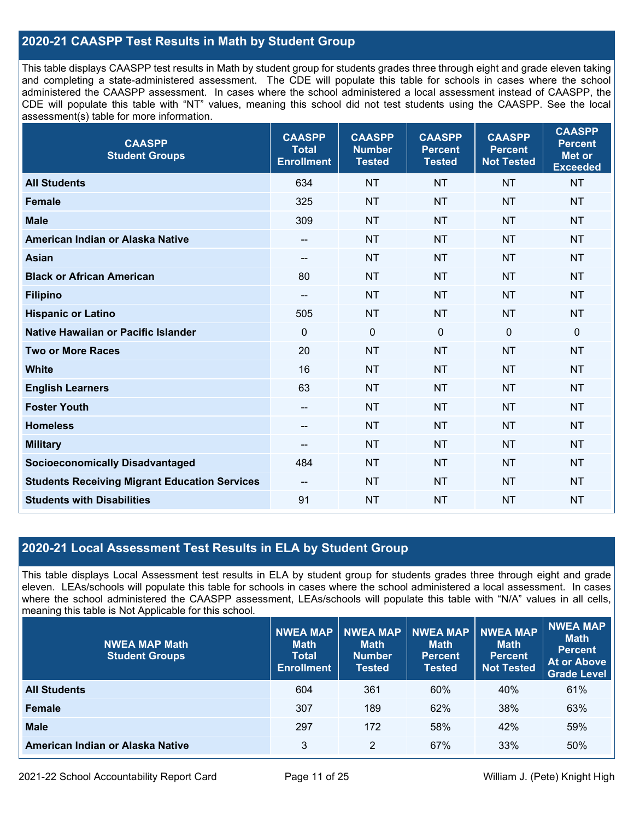### **2020-21 CAASPP Test Results in Math by Student Group**

This table displays CAASPP test results in Math by student group for students grades three through eight and grade eleven taking and completing a state-administered assessment. The CDE will populate this table for schools in cases where the school administered the CAASPP assessment. In cases where the school administered a local assessment instead of CAASPP, the CDE will populate this table with "NT" values, meaning this school did not test students using the CAASPP. See the local assessment(s) table for more information.

| <b>CAASPP</b><br><b>Student Groups</b>               | <b>CAASPP</b><br><b>Total</b><br><b>Enrollment</b> | <b>CAASPP</b><br><b>Number</b><br><b>Tested</b> | <b>CAASPP</b><br><b>Percent</b><br><b>Tested</b> | <b>CAASPP</b><br><b>Percent</b><br><b>Not Tested</b> | <b>CAASPP</b><br><b>Percent</b><br><b>Met or</b><br><b>Exceeded</b> |
|------------------------------------------------------|----------------------------------------------------|-------------------------------------------------|--------------------------------------------------|------------------------------------------------------|---------------------------------------------------------------------|
| <b>All Students</b>                                  | 634                                                | <b>NT</b>                                       | <b>NT</b>                                        | <b>NT</b>                                            | <b>NT</b>                                                           |
| <b>Female</b>                                        | 325                                                | <b>NT</b>                                       | <b>NT</b>                                        | <b>NT</b>                                            | <b>NT</b>                                                           |
| <b>Male</b>                                          | 309                                                | <b>NT</b>                                       | <b>NT</b>                                        | <b>NT</b>                                            | <b>NT</b>                                                           |
| American Indian or Alaska Native                     | $\qquad \qquad -$                                  | <b>NT</b>                                       | <b>NT</b>                                        | <b>NT</b>                                            | <b>NT</b>                                                           |
| <b>Asian</b>                                         | $\overline{\phantom{a}}$                           | <b>NT</b>                                       | <b>NT</b>                                        | <b>NT</b>                                            | <b>NT</b>                                                           |
| <b>Black or African American</b>                     | 80                                                 | <b>NT</b>                                       | <b>NT</b>                                        | <b>NT</b>                                            | <b>NT</b>                                                           |
| <b>Filipino</b>                                      | $\overline{\phantom{a}}$                           | <b>NT</b>                                       | <b>NT</b>                                        | <b>NT</b>                                            | <b>NT</b>                                                           |
| <b>Hispanic or Latino</b>                            | 505                                                | <b>NT</b>                                       | <b>NT</b>                                        | <b>NT</b>                                            | <b>NT</b>                                                           |
| <b>Native Hawaiian or Pacific Islander</b>           | $\overline{0}$                                     | $\mathbf 0$                                     | $\mathbf{0}$                                     | $\overline{0}$                                       | $\mathbf 0$                                                         |
| <b>Two or More Races</b>                             | 20                                                 | <b>NT</b>                                       | <b>NT</b>                                        | <b>NT</b>                                            | <b>NT</b>                                                           |
| <b>White</b>                                         | 16                                                 | <b>NT</b>                                       | <b>NT</b>                                        | <b>NT</b>                                            | <b>NT</b>                                                           |
| <b>English Learners</b>                              | 63                                                 | <b>NT</b>                                       | <b>NT</b>                                        | <b>NT</b>                                            | <b>NT</b>                                                           |
| <b>Foster Youth</b>                                  | --                                                 | <b>NT</b>                                       | <b>NT</b>                                        | <b>NT</b>                                            | <b>NT</b>                                                           |
| <b>Homeless</b>                                      | $\qquad \qquad -$                                  | <b>NT</b>                                       | <b>NT</b>                                        | <b>NT</b>                                            | <b>NT</b>                                                           |
| <b>Military</b>                                      | --                                                 | <b>NT</b>                                       | <b>NT</b>                                        | <b>NT</b>                                            | <b>NT</b>                                                           |
| <b>Socioeconomically Disadvantaged</b>               | 484                                                | <b>NT</b>                                       | <b>NT</b>                                        | <b>NT</b>                                            | <b>NT</b>                                                           |
| <b>Students Receiving Migrant Education Services</b> |                                                    | <b>NT</b>                                       | <b>NT</b>                                        | <b>NT</b>                                            | <b>NT</b>                                                           |
| <b>Students with Disabilities</b>                    | 91                                                 | <b>NT</b>                                       | <b>NT</b>                                        | <b>NT</b>                                            | <b>NT</b>                                                           |

### **2020-21 Local Assessment Test Results in ELA by Student Group**

This table displays Local Assessment test results in ELA by student group for students grades three through eight and grade eleven. LEAs/schools will populate this table for schools in cases where the school administered a local assessment. In cases where the school administered the CAASPP assessment, LEAs/schools will populate this table with "N/A" values in all cells, meaning this table is Not Applicable for this school.

| <b>NWEA MAP Math</b><br><b>Student Groups</b> | <b>NWEA MAP</b><br><b>Math</b><br><b>Total</b><br><b>Enrollment</b> | <b>NWEA MAP</b><br><b>Math</b><br><b>Number</b><br><b>Tested</b> | <b>NWEA MAP</b><br><b>Math</b><br><b>Percent</b><br><b>Tested</b> | <b>NWEA MAP</b><br><b>Math</b><br><b>Percent</b><br><b>Not Tested</b> | NWEA MAP<br><b>Math</b><br><b>Percent</b><br><b>At or Above</b><br><b>Grade Level</b> |
|-----------------------------------------------|---------------------------------------------------------------------|------------------------------------------------------------------|-------------------------------------------------------------------|-----------------------------------------------------------------------|---------------------------------------------------------------------------------------|
| <b>All Students</b>                           | 604                                                                 | 361                                                              | 60%                                                               | 40%                                                                   | 61%                                                                                   |
| <b>Female</b>                                 | 307                                                                 | 189                                                              | 62%                                                               | 38%                                                                   | 63%                                                                                   |
| <b>Male</b>                                   | 297                                                                 | 172                                                              | 58%                                                               | 42%                                                                   | 59%                                                                                   |
| American Indian or Alaska Native              | 3                                                                   | 2                                                                | 67%                                                               | 33%                                                                   | 50%                                                                                   |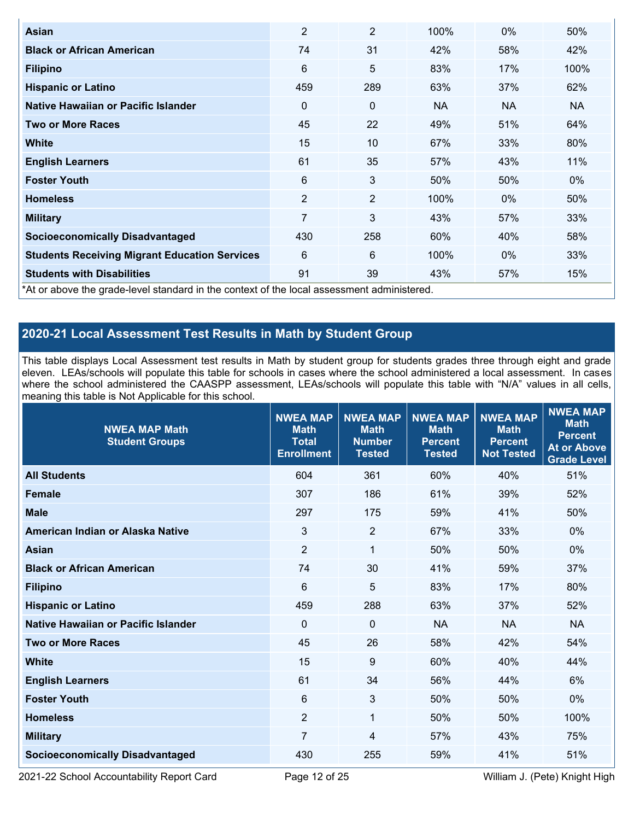| <b>Asian</b>                                                                               | $\overline{2}$ | $\overline{2}$ | 100%      | $0\%$     | 50%   |
|--------------------------------------------------------------------------------------------|----------------|----------------|-----------|-----------|-------|
| <b>Black or African American</b>                                                           | 74             | 31             | 42%       | 58%       | 42%   |
| <b>Filipino</b>                                                                            | 6              | 5              | 83%       | 17%       | 100%  |
| <b>Hispanic or Latino</b>                                                                  | 459            | 289            | 63%       | 37%       | 62%   |
| Native Hawaiian or Pacific Islander                                                        | 0              | 0              | <b>NA</b> | <b>NA</b> | NA.   |
| <b>Two or More Races</b>                                                                   | 45             | 22             | 49%       | 51%       | 64%   |
| <b>White</b>                                                                               | 15             | 10             | 67%       | 33%       | 80%   |
| <b>English Learners</b>                                                                    | 61             | 35             | 57%       | 43%       | 11%   |
| <b>Foster Youth</b>                                                                        | 6              | 3              | 50%       | 50%       | $0\%$ |
| <b>Homeless</b>                                                                            | $\overline{2}$ | $\overline{2}$ | 100%      | $0\%$     | 50%   |
| <b>Military</b>                                                                            | 7              | 3              | 43%       | 57%       | 33%   |
| <b>Socioeconomically Disadvantaged</b>                                                     | 430            | 258            | 60%       | 40%       | 58%   |
| <b>Students Receiving Migrant Education Services</b>                                       | 6              | 6              | 100%      | $0\%$     | 33%   |
| <b>Students with Disabilities</b>                                                          | 91             | 39             | 43%       | 57%       | 15%   |
| *At or above the grade-level standard in the context of the local assessment administered. |                |                |           |           |       |

## **2020-21 Local Assessment Test Results in Math by Student Group**

This table displays Local Assessment test results in Math by student group for students grades three through eight and grade eleven. LEAs/schools will populate this table for schools in cases where the school administered a local assessment. In cases where the school administered the CAASPP assessment, LEAs/schools will populate this table with "N/A" values in all cells, meaning this table is Not Applicable for this school.

| <b>NWEA MAP Math</b><br><b>Student Groups</b> | <b>NWEA MAP</b><br><b>Math</b><br><b>Total</b><br><b>Enrollment</b> | <b>NWEA MAP</b><br><b>Math</b><br><b>Number</b><br><b>Tested</b> | <b>NWEA MAP</b><br><b>Math</b><br><b>Percent</b><br><b>Tested</b> | <b>NWEA MAP</b><br><b>Math</b><br><b>Percent</b><br><b>Not Tested</b> | <b>NWEA MAP</b><br><b>Math</b><br><b>Percent</b><br><b>At or Above</b><br><b>Grade Level</b> |
|-----------------------------------------------|---------------------------------------------------------------------|------------------------------------------------------------------|-------------------------------------------------------------------|-----------------------------------------------------------------------|----------------------------------------------------------------------------------------------|
| <b>All Students</b>                           | 604                                                                 | 361                                                              | 60%                                                               | 40%                                                                   | 51%                                                                                          |
| <b>Female</b>                                 | 307                                                                 | 186                                                              | 61%                                                               | 39%                                                                   | 52%                                                                                          |
| <b>Male</b>                                   | 297                                                                 | 175                                                              | 59%                                                               | 41%                                                                   | 50%                                                                                          |
| American Indian or Alaska Native              | $\mathfrak{Z}$                                                      | $\overline{2}$                                                   | 67%                                                               | 33%                                                                   | $0\%$                                                                                        |
| <b>Asian</b>                                  | $\overline{2}$                                                      | 1                                                                | 50%                                                               | 50%                                                                   | $0\%$                                                                                        |
| <b>Black or African American</b>              | 74                                                                  | 30                                                               | 41%                                                               | 59%                                                                   | 37%                                                                                          |
| <b>Filipino</b>                               | 6                                                                   | 5                                                                | 83%                                                               | 17%                                                                   | 80%                                                                                          |
| <b>Hispanic or Latino</b>                     | 459                                                                 | 288                                                              | 63%                                                               | 37%                                                                   | 52%                                                                                          |
| Native Hawaiian or Pacific Islander           | $\mathbf{0}$                                                        | $\mathbf 0$                                                      | <b>NA</b>                                                         | <b>NA</b>                                                             | <b>NA</b>                                                                                    |
| <b>Two or More Races</b>                      | 45                                                                  | 26                                                               | 58%                                                               | 42%                                                                   | 54%                                                                                          |
| <b>White</b>                                  | 15                                                                  | 9                                                                | 60%                                                               | 40%                                                                   | 44%                                                                                          |
| <b>English Learners</b>                       | 61                                                                  | 34                                                               | 56%                                                               | 44%                                                                   | 6%                                                                                           |
| <b>Foster Youth</b>                           | 6                                                                   | 3                                                                | 50%                                                               | 50%                                                                   | 0%                                                                                           |
| <b>Homeless</b>                               | $\overline{2}$                                                      | 1                                                                | 50%                                                               | 50%                                                                   | 100%                                                                                         |
| <b>Military</b>                               | $\overline{7}$                                                      | 4                                                                | 57%                                                               | 43%                                                                   | 75%                                                                                          |
| <b>Socioeconomically Disadvantaged</b>        | 430                                                                 | 255                                                              | 59%                                                               | 41%                                                                   | 51%                                                                                          |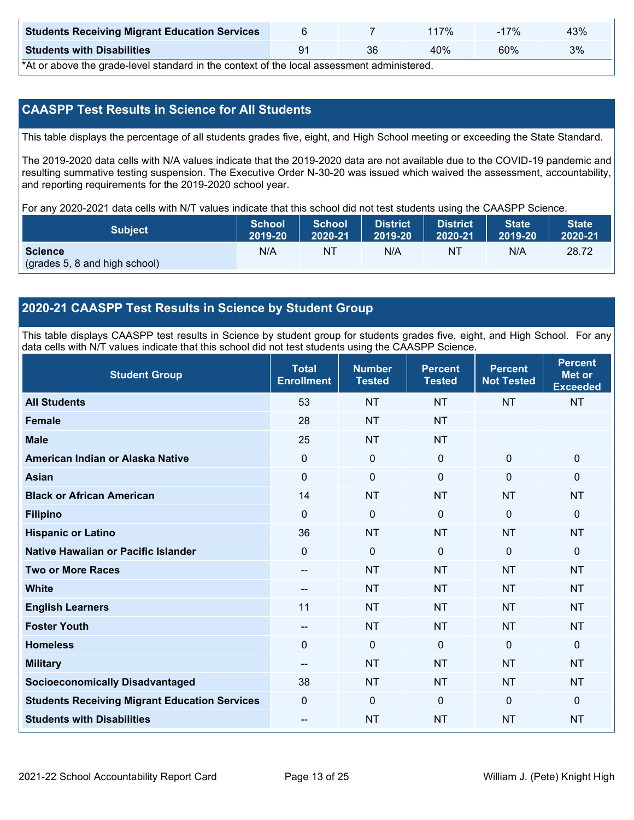| <b>Students Receiving Migrant Education Services</b> |    | 17% | $-17%$ | 43% |
|------------------------------------------------------|----|-----|--------|-----|
| <b>Students with Disabilities</b>                    | ດ4 | 40% | 60%    | 3%  |

\*At or above the grade-level standard in the context of the local assessment administered.

## **CAASPP Test Results in Science for All Students**

This table displays the percentage of all students grades five, eight, and High School meeting or exceeding the State Standard.

The 2019-2020 data cells with N/A values indicate that the 2019-2020 data are not available due to the COVID-19 pandemic and resulting summative testing suspension. The Executive Order N-30-20 was issued which waived the assessment, accountability, and reporting requirements for the 2019-2020 school year.

For any 2020-2021 data cells with N/T values indicate that this school did not test students using the CAASPP Science.

| <b>Subject</b>                                  | <b>School</b> | <b>School</b> | <b>District</b> | <b>District</b> | <b>State</b> | <b>State</b> |
|-------------------------------------------------|---------------|---------------|-----------------|-----------------|--------------|--------------|
|                                                 | 2019-20       | 2020-21       | 12019-20        | 2020-21         | 2019-20      | 2020-21      |
| <b>Science</b><br>(grades 5, 8 and high school) | N/A           | ΝT            | N/A             | NI              | N/A          | 28.72        |

#### **2020-21 CAASPP Test Results in Science by Student Group**

This table displays CAASPP test results in Science by student group for students grades five, eight, and High School. For any data cells with N/T values indicate that this school did not test students using the CAASPP Science.

| <b>Student Group</b>                                 | <b>Total</b><br><b>Enrollment</b> | <b>Number</b><br><b>Tested</b> | <b>Percent</b><br><b>Tested</b> | <b>Percent</b><br><b>Not Tested</b> | <b>Percent</b><br><b>Met or</b><br><b>Exceeded</b> |
|------------------------------------------------------|-----------------------------------|--------------------------------|---------------------------------|-------------------------------------|----------------------------------------------------|
| <b>All Students</b>                                  | 53                                | <b>NT</b>                      | <b>NT</b>                       | <b>NT</b>                           | <b>NT</b>                                          |
| <b>Female</b>                                        | 28                                | <b>NT</b>                      | <b>NT</b>                       |                                     |                                                    |
| <b>Male</b>                                          | 25                                | <b>NT</b>                      | <b>NT</b>                       |                                     |                                                    |
| American Indian or Alaska Native                     | 0                                 | $\mathbf 0$                    | $\mathbf 0$                     | $\mathbf 0$                         | $\mathbf 0$                                        |
| <b>Asian</b>                                         | 0                                 | $\pmb{0}$                      | $\mathbf 0$                     | $\mathbf 0$                         | $\mathbf 0$                                        |
| <b>Black or African American</b>                     | 14                                | <b>NT</b>                      | <b>NT</b>                       | <b>NT</b>                           | <b>NT</b>                                          |
| <b>Filipino</b>                                      | $\Omega$                          | 0                              | $\Omega$                        | $\Omega$                            | $\mathbf{0}$                                       |
| <b>Hispanic or Latino</b>                            | 36                                | <b>NT</b>                      | <b>NT</b>                       | <b>NT</b>                           | <b>NT</b>                                          |
| Native Hawaiian or Pacific Islander                  | $\Omega$                          | $\mathbf 0$                    | $\mathbf{0}$                    | $\Omega$                            | $\mathbf 0$                                        |
| <b>Two or More Races</b>                             | --                                | <b>NT</b>                      | <b>NT</b>                       | <b>NT</b>                           | <b>NT</b>                                          |
| <b>White</b>                                         | $\sim$                            | <b>NT</b>                      | <b>NT</b>                       | <b>NT</b>                           | <b>NT</b>                                          |
| <b>English Learners</b>                              | 11                                | <b>NT</b>                      | <b>NT</b>                       | <b>NT</b>                           | <b>NT</b>                                          |
| <b>Foster Youth</b>                                  | --                                | <b>NT</b>                      | <b>NT</b>                       | <b>NT</b>                           | <b>NT</b>                                          |
| <b>Homeless</b>                                      | 0                                 | $\mathbf 0$                    | $\mathbf{0}$                    | $\Omega$                            | $\mathbf 0$                                        |
| <b>Military</b>                                      | $\overline{\phantom{m}}$          | <b>NT</b>                      | <b>NT</b>                       | <b>NT</b>                           | <b>NT</b>                                          |
| <b>Socioeconomically Disadvantaged</b>               | 38                                | <b>NT</b>                      | <b>NT</b>                       | <b>NT</b>                           | <b>NT</b>                                          |
| <b>Students Receiving Migrant Education Services</b> | 0                                 | 0                              | $\mathbf{0}$                    | $\mathbf{0}$                        | $\mathbf 0$                                        |
| <b>Students with Disabilities</b>                    | --                                | <b>NT</b>                      | <b>NT</b>                       | <b>NT</b>                           | <b>NT</b>                                          |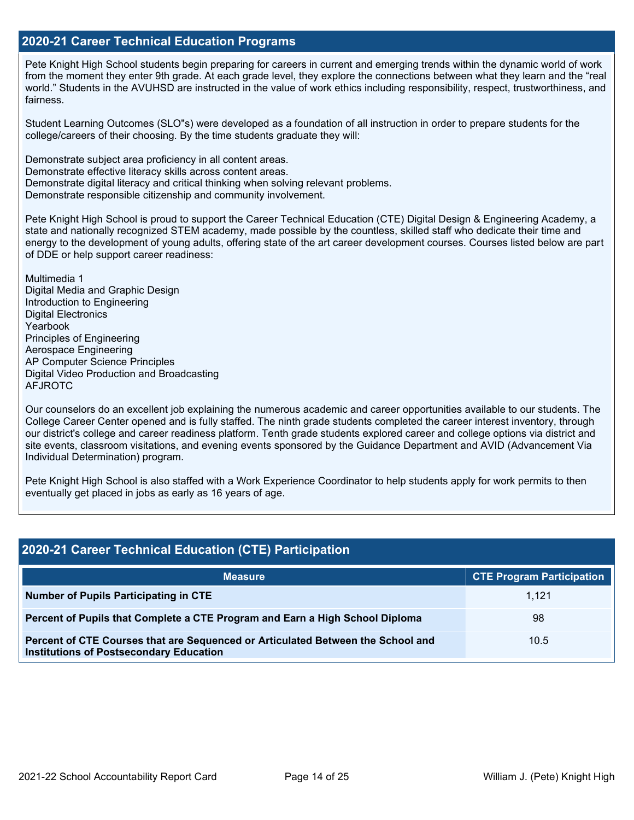#### **2020-21 Career Technical Education Programs**

Pete Knight High School students begin preparing for careers in current and emerging trends within the dynamic world of work from the moment they enter 9th grade. At each grade level, they explore the connections between what they learn and the "real world." Students in the AVUHSD are instructed in the value of work ethics including responsibility, respect, trustworthiness, and fairness.

Student Learning Outcomes (SLO"s) were developed as a foundation of all instruction in order to prepare students for the college/careers of their choosing. By the time students graduate they will:

Demonstrate subject area proficiency in all content areas. Demonstrate effective literacy skills across content areas. Demonstrate digital literacy and critical thinking when solving relevant problems. Demonstrate responsible citizenship and community involvement.

Pete Knight High School is proud to support the Career Technical Education (CTE) Digital Design & Engineering Academy, a state and nationally recognized STEM academy, made possible by the countless, skilled staff who dedicate their time and energy to the development of young adults, offering state of the art career development courses. Courses listed below are part of DDE or help support career readiness:

Multimedia 1 Digital Media and Graphic Design Introduction to Engineering Digital Electronics Yearbook Principles of Engineering Aerospace Engineering AP Computer Science Principles Digital Video Production and Broadcasting AFJROTC

Our counselors do an excellent job explaining the numerous academic and career opportunities available to our students. The College Career Center opened and is fully staffed. The ninth grade students completed the career interest inventory, through our district's college and career readiness platform. Tenth grade students explored career and college options via district and site events, classroom visitations, and evening events sponsored by the Guidance Department and AVID (Advancement Via Individual Determination) program.

Pete Knight High School is also staffed with a Work Experience Coordinator to help students apply for work permits to then eventually get placed in jobs as early as 16 years of age.

## **2020-21 Career Technical Education (CTE) Participation**

| <b>Measure</b>                                                                                                                    | <b>CTE Program Participation</b> |
|-----------------------------------------------------------------------------------------------------------------------------------|----------------------------------|
| Number of Pupils Participating in CTE                                                                                             | 1.121                            |
| Percent of Pupils that Complete a CTE Program and Earn a High School Diploma                                                      | 98                               |
| Percent of CTE Courses that are Sequenced or Articulated Between the School and<br><b>Institutions of Postsecondary Education</b> | 10.5                             |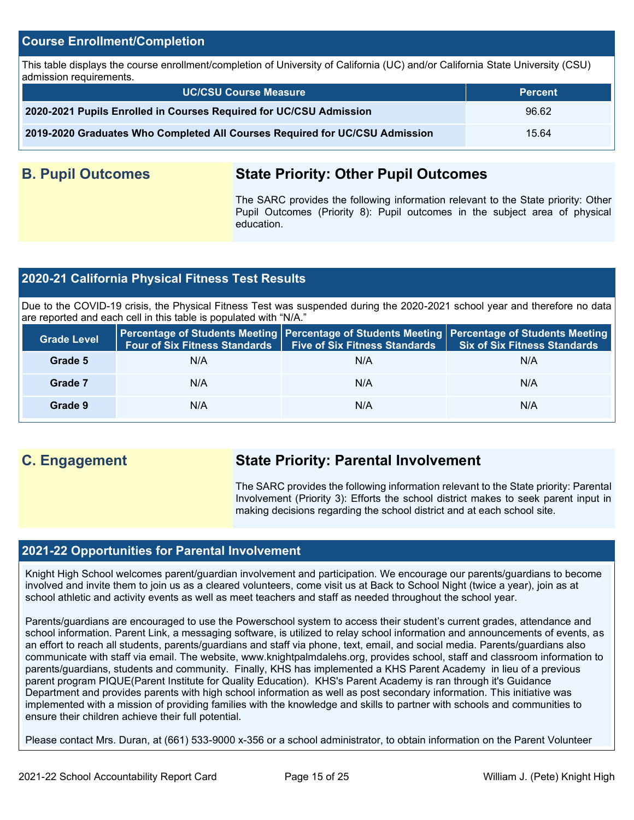#### **Course Enrollment/Completion**

This table displays the course enrollment/completion of University of California (UC) and/or California State University (CSU) admission requirements.

| <b>UC/CSU Course Measure</b>                                                | <b>Percent</b> |
|-----------------------------------------------------------------------------|----------------|
| 2020-2021 Pupils Enrolled in Courses Required for UC/CSU Admission          | 96.62          |
| 2019-2020 Graduates Who Completed All Courses Required for UC/CSU Admission | 15.64          |

## **B. Pupil Outcomes State Priority: Other Pupil Outcomes**

The SARC provides the following information relevant to the State priority: Other Pupil Outcomes (Priority 8): Pupil outcomes in the subject area of physical education.

### **2020-21 California Physical Fitness Test Results**

Due to the COVID-19 crisis, the Physical Fitness Test was suspended during the 2020-2021 school year and therefore no data are reported and each cell in this table is populated with "N/A."

| <b>Grade Level</b> | <b>Four of Six Fitness Standards</b> | <b>Five of Six Fitness Standards</b> | Percentage of Students Meeting   Percentage of Students Meeting   Percentage of Students Meeting  <br><b>Six of Six Fitness Standards</b> |
|--------------------|--------------------------------------|--------------------------------------|-------------------------------------------------------------------------------------------------------------------------------------------|
| Grade 5            | N/A                                  | N/A                                  | N/A                                                                                                                                       |
| Grade 7            | N/A                                  | N/A                                  | N/A                                                                                                                                       |
| Grade 9            | N/A                                  | N/A                                  | N/A                                                                                                                                       |

## **C. Engagement State Priority: Parental Involvement**

The SARC provides the following information relevant to the State priority: Parental Involvement (Priority 3): Efforts the school district makes to seek parent input in making decisions regarding the school district and at each school site.

#### **2021-22 Opportunities for Parental Involvement**

Knight High School welcomes parent/guardian involvement and participation. We encourage our parents/guardians to become involved and invite them to join us as a cleared volunteers, come visit us at Back to School Night (twice a year), join as at school athletic and activity events as well as meet teachers and staff as needed throughout the school year.

Parents/guardians are encouraged to use the Powerschool system to access their student's current grades, attendance and school information. Parent Link, a messaging software, is utilized to relay school information and announcements of events, as an effort to reach all students, parents/guardians and staff via phone, text, email, and social media. Parents/guardians also communicate with staff via email. The website, www.knightpalmdalehs.org, provides school, staff and classroom information to parents/guardians, students and community. Finally, KHS has implemented a KHS Parent Academy in lieu of a previous parent program PIQUE(Parent Institute for Quality Education). KHS's Parent Academy is ran through it's Guidance Department and provides parents with high school information as well as post secondary information. This initiative was implemented with a mission of providing families with the knowledge and skills to partner with schools and communities to ensure their children achieve their full potential.

Please contact Mrs. Duran, at (661) 533-9000 x-356 or a school administrator, to obtain information on the Parent Volunteer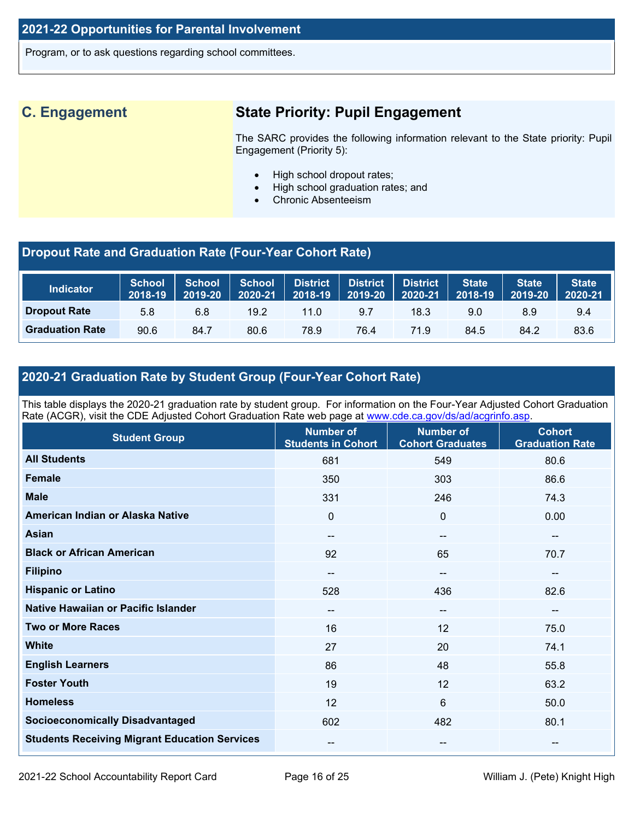Program, or to ask questions regarding school committees.

## **C. Engagement State Priority: Pupil Engagement**

The SARC provides the following information relevant to the State priority: Pupil Engagement (Priority 5):

- High school dropout rates;
- High school graduation rates; and
- Chronic Absenteeism

## **Dropout Rate and Graduation Rate (Four-Year Cohort Rate)**

| <b>Indicator</b>       | <b>School</b><br>2018-19 | <b>School</b><br>2019-20 | School<br>2020-21 | $\begin{array}{ c c c }\hline \textbf{2018-19} & \textbf{2019-20} \\\hline \end{array}$ | District District | <b>District</b><br>2020-21 | <b>State</b><br>2018-19 | <b>State</b><br>2019-20 | <b>State</b><br>2020-21 |
|------------------------|--------------------------|--------------------------|-------------------|-----------------------------------------------------------------------------------------|-------------------|----------------------------|-------------------------|-------------------------|-------------------------|
| <b>Dropout Rate</b>    | 5.8                      | 6.8                      | $19.2^{\circ}$    | 11.0                                                                                    | 9.7               | 18.3                       | 9.0                     | 8.9                     | 9.4                     |
| <b>Graduation Rate</b> | 90.6                     | 84.7                     | 80.6              | 78.9                                                                                    | 76.4              | 71.9                       | 84.5                    | 84.2                    | 83.6                    |

## **2020-21 Graduation Rate by Student Group (Four-Year Cohort Rate)**

This table displays the 2020-21 graduation rate by student group. For information on the Four-Year Adjusted Cohort Graduation Rate (ACGR), visit the CDE Adjusted Cohort Graduation Rate web page at [www.cde.ca.gov/ds/ad/acgrinfo.asp.](http://www.cde.ca.gov/ds/ad/acgrinfo.asp)

| <b>Student Group</b>                                 | <b>Number of</b><br><b>Students in Cohort</b> | <b>Number of</b><br><b>Cohort Graduates</b> | <b>Cohort</b><br><b>Graduation Rate</b> |
|------------------------------------------------------|-----------------------------------------------|---------------------------------------------|-----------------------------------------|
| <b>All Students</b>                                  | 681                                           | 549                                         | 80.6                                    |
| <b>Female</b>                                        | 350                                           | 303                                         | 86.6                                    |
| <b>Male</b>                                          | 331                                           | 246                                         | 74.3                                    |
| American Indian or Alaska Native                     | $\mathbf 0$                                   | 0                                           | 0.00                                    |
| <b>Asian</b>                                         | $\qquad \qquad -$                             | $\qquad \qquad -$                           | $\overline{\phantom{m}}$                |
| <b>Black or African American</b>                     | 92                                            | 65                                          | 70.7                                    |
| <b>Filipino</b>                                      | --                                            | --                                          | $\overline{\phantom{a}}$                |
| <b>Hispanic or Latino</b>                            | 528                                           | 436                                         | 82.6                                    |
| Native Hawaiian or Pacific Islander                  | $\qquad \qquad -$                             | --                                          | $\overline{\phantom{a}}$                |
| <b>Two or More Races</b>                             | 16                                            | 12                                          | 75.0                                    |
| <b>White</b>                                         | 27                                            | 20                                          | 74.1                                    |
| <b>English Learners</b>                              | 86                                            | 48                                          | 55.8                                    |
| <b>Foster Youth</b>                                  | 19                                            | 12                                          | 63.2                                    |
| <b>Homeless</b>                                      | 12                                            | 6                                           | 50.0                                    |
| <b>Socioeconomically Disadvantaged</b>               | 602                                           | 482                                         | 80.1                                    |
| <b>Students Receiving Migrant Education Services</b> | $\overline{\phantom{m}}$                      | --                                          | $\overline{\phantom{m}}$                |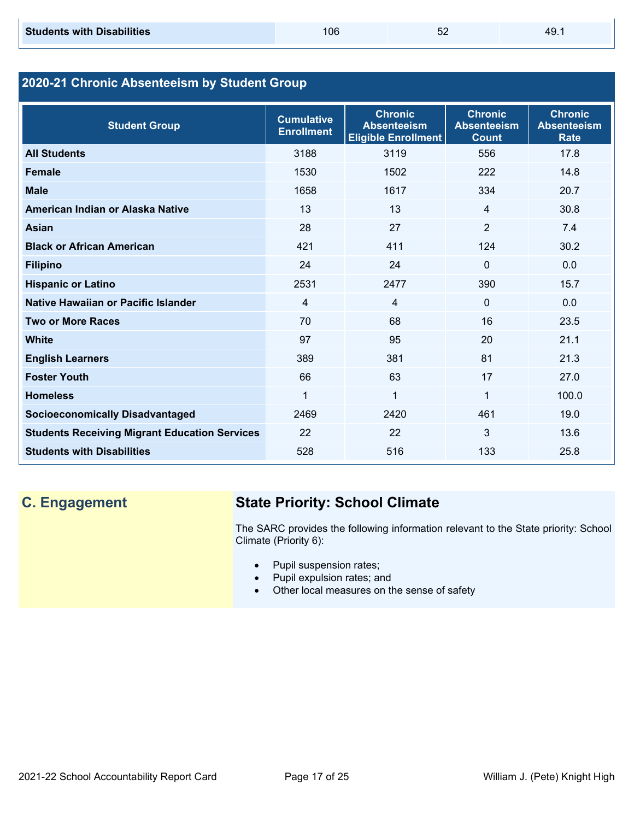**Chronic Absenteeism Rate**

| 2020-21 Chronic Absenteeism by Student Group |                                        |                                                                    |                                                      |                                 |  |  |
|----------------------------------------------|----------------------------------------|--------------------------------------------------------------------|------------------------------------------------------|---------------------------------|--|--|
| <b>Student Group</b>                         | <b>Cumulative</b><br><b>Enrollment</b> | <b>Chronic</b><br><b>Absenteeism</b><br><b>Eligible Enrollment</b> | <b>Chronic</b><br><b>Absenteeism</b><br><b>Count</b> | Chron<br><b>Absente</b><br>Rate |  |  |
| <b>All Students</b>                          | 3188                                   | 3119                                                               | 556                                                  | 17.8                            |  |  |
| <b>Female</b>                                | 1530                                   | 1502                                                               | 222                                                  | 14.8                            |  |  |
| <b>Male</b>                                  | 1658                                   | 1617                                                               | 334                                                  | 20.7                            |  |  |
| American Indian or Alaska Native             | 13                                     | 13                                                                 | 4                                                    | 30.8                            |  |  |
| Asian                                        | 28                                     | 27                                                                 | $\overline{2}$                                       | 7.4                             |  |  |
| <b>Black or African American</b>             | 421                                    | 411                                                                | 124                                                  | 30.2                            |  |  |
| <b>Filipino</b>                              | 24                                     | 24                                                                 | $\mathbf{0}$                                         | 0.0                             |  |  |
| <b>Hispanic or Latino</b>                    | 2531                                   | 2477                                                               | 390                                                  | 15.7                            |  |  |
| Native Hawaiian or Pacific Islander          | 4                                      | 4                                                                  | $\mathbf 0$                                          | 0.0                             |  |  |
| <b>Two or More Races</b>                     | 70                                     | 68                                                                 | 16                                                   | 23.5                            |  |  |
| <b>White</b>                                 | 97                                     | 95                                                                 | 20                                                   | 21.1                            |  |  |
| <b>English Learners</b>                      | 389                                    | 381                                                                | 81                                                   | 21.3                            |  |  |

**Foster Youth 17 27.0** 

**Homeless** 1 1 1 100.0 **Socioeconomically Disadvantaged 19.0** 2469 2420 2461 19.0 **Students Receiving Migrant Education Services** 22 22 22 3 13.6 **Students with Disabilities 528** 516 516 133 25.8

## **C. Engagement State Priority: School Climate**

The SARC provides the following information relevant to the State priority: School Climate (Priority 6):

- Pupil suspension rates;
- Pupil expulsion rates; and
- Other local measures on the sense of safety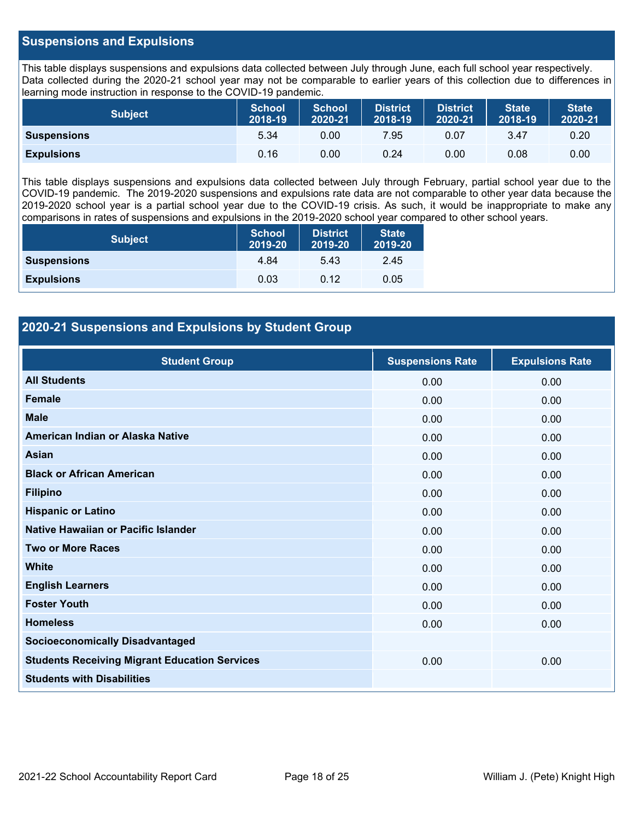#### **Suspensions and Expulsions**

This table displays suspensions and expulsions data collected between July through June, each full school year respectively. Data collected during the 2020-21 school year may not be comparable to earlier years of this collection due to differences in learning mode instruction in response to the COVID-19 pandemic.

| <b>Subject</b>     | <b>School</b><br>2018-19 | <b>School</b><br>2020-21 | <b>District</b><br>2018-19 | <b>District</b><br>2020-21 | <b>State</b><br>2018-19 | <b>State</b><br>2020-21 |
|--------------------|--------------------------|--------------------------|----------------------------|----------------------------|-------------------------|-------------------------|
| <b>Suspensions</b> | 5.34                     | 0.00                     | 7.95                       | 0.07                       | 3.47                    | 0.20                    |
| <b>Expulsions</b>  | 0.16                     | 0.00                     | 0.24                       | 0.00                       | 0.08                    | 0.00                    |

This table displays suspensions and expulsions data collected between July through February, partial school year due to the COVID-19 pandemic. The 2019-2020 suspensions and expulsions rate data are not comparable to other year data because the 2019-2020 school year is a partial school year due to the COVID-19 crisis. As such, it would be inappropriate to make any comparisons in rates of suspensions and expulsions in the 2019-2020 school year compared to other school years.

| <b>Subject</b>     | <b>School</b><br>2019-20 | <b>District</b><br>2019-20 | <b>State</b><br>2019-20 |
|--------------------|--------------------------|----------------------------|-------------------------|
| <b>Suspensions</b> | 4.84                     | 5.43                       | 2.45                    |
| <b>Expulsions</b>  | 0.03                     | 0.12                       | 0.05                    |

### **2020-21 Suspensions and Expulsions by Student Group**

| <b>Student Group</b>                                 | <b>Suspensions Rate</b> | <b>Expulsions Rate</b> |
|------------------------------------------------------|-------------------------|------------------------|
| <b>All Students</b>                                  | 0.00                    | 0.00                   |
| Female                                               | 0.00                    | 0.00                   |
| <b>Male</b>                                          | 0.00                    | 0.00                   |
| American Indian or Alaska Native                     | 0.00                    | 0.00                   |
| <b>Asian</b>                                         | 0.00                    | 0.00                   |
| <b>Black or African American</b>                     | 0.00                    | 0.00                   |
| <b>Filipino</b>                                      | 0.00                    | 0.00                   |
| <b>Hispanic or Latino</b>                            | 0.00                    | 0.00                   |
| Native Hawaiian or Pacific Islander                  | 0.00                    | 0.00                   |
| <b>Two or More Races</b>                             | 0.00                    | 0.00                   |
| <b>White</b>                                         | 0.00                    | 0.00                   |
| <b>English Learners</b>                              | 0.00                    | 0.00                   |
| <b>Foster Youth</b>                                  | 0.00                    | 0.00                   |
| <b>Homeless</b>                                      | 0.00                    | 0.00                   |
| <b>Socioeconomically Disadvantaged</b>               |                         |                        |
| <b>Students Receiving Migrant Education Services</b> | 0.00                    | 0.00                   |
| <b>Students with Disabilities</b>                    |                         |                        |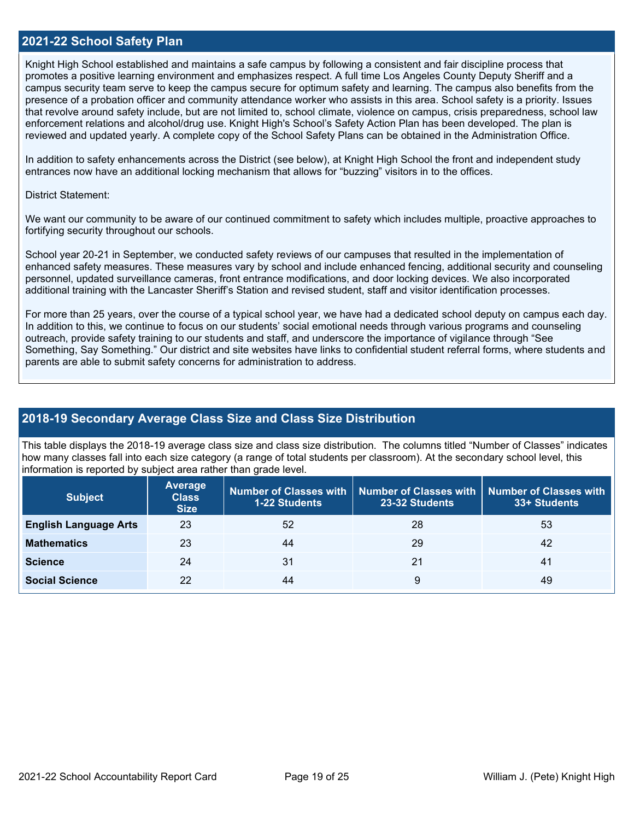#### **2021-22 School Safety Plan**

Knight High School established and maintains a safe campus by following a consistent and fair discipline process that promotes a positive learning environment and emphasizes respect. A full time Los Angeles County Deputy Sheriff and a campus security team serve to keep the campus secure for optimum safety and learning. The campus also benefits from the presence of a probation officer and community attendance worker who assists in this area. School safety is a priority. Issues that revolve around safety include, but are not limited to, school climate, violence on campus, crisis preparedness, school law enforcement relations and alcohol/drug use. Knight High's School's Safety Action Plan has been developed. The plan is reviewed and updated yearly. A complete copy of the School Safety Plans can be obtained in the Administration Office.

In addition to safety enhancements across the District (see below), at Knight High School the front and independent study entrances now have an additional locking mechanism that allows for "buzzing" visitors in to the offices.

#### District Statement:

We want our community to be aware of our continued commitment to safety which includes multiple, proactive approaches to fortifying security throughout our schools.

School year 20-21 in September, we conducted safety reviews of our campuses that resulted in the implementation of enhanced safety measures. These measures vary by school and include enhanced fencing, additional security and counseling personnel, updated surveillance cameras, front entrance modifications, and door locking devices. We also incorporated additional training with the Lancaster Sheriff's Station and revised student, staff and visitor identification processes.

For more than 25 years, over the course of a typical school year, we have had a dedicated school deputy on campus each day. In addition to this, we continue to focus on our students' social emotional needs through various programs and counseling outreach, provide safety training to our students and staff, and underscore the importance of vigilance through "See Something, Say Something." Our district and site websites have links to confidential student referral forms, where students and parents are able to submit safety concerns for administration to address.

#### **2018-19 Secondary Average Class Size and Class Size Distribution**

This table displays the 2018-19 average class size and class size distribution. The columns titled "Number of Classes" indicates how many classes fall into each size category (a range of total students per classroom). At the secondary school level, this information is reported by subject area rather than grade level.

| <b>Subject</b>               | <b>Average</b><br><b>Class</b><br><b>Size</b> | <b>1-22 Students</b> | Number of Classes with   Number of Classes with<br>23-32 Students | <b>Number of Classes with</b><br>33+ Students |
|------------------------------|-----------------------------------------------|----------------------|-------------------------------------------------------------------|-----------------------------------------------|
| <b>English Language Arts</b> | 23                                            | 52                   | 28                                                                | 53                                            |
| <b>Mathematics</b>           | 23                                            | 44                   | 29                                                                | 42                                            |
| <b>Science</b>               | 24                                            | 31                   | 21                                                                | 41                                            |
| <b>Social Science</b>        | 22                                            | 44                   | 9                                                                 | 49                                            |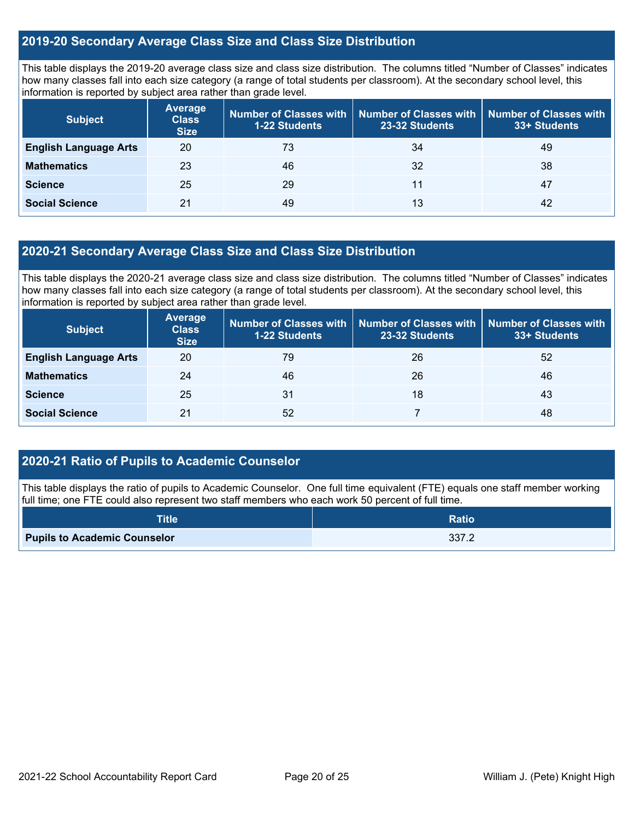#### **2019-20 Secondary Average Class Size and Class Size Distribution**

This table displays the 2019-20 average class size and class size distribution. The columns titled "Number of Classes" indicates how many classes fall into each size category (a range of total students per classroom). At the secondary school level, this information is reported by subject area rather than grade level.

| <b>Subject</b>               | <b>Average</b><br><b>Class</b><br><b>Size</b> | Number of Classes with<br><b>1-22 Students</b> | <b>Number of Classes with</b><br>23-32 Students | <b>Number of Classes with</b><br>33+ Students |
|------------------------------|-----------------------------------------------|------------------------------------------------|-------------------------------------------------|-----------------------------------------------|
| <b>English Language Arts</b> | 20                                            | 73                                             | 34                                              | 49                                            |
| <b>Mathematics</b>           | 23                                            | 46                                             | 32                                              | 38                                            |
| <b>Science</b>               | 25                                            | 29                                             | 11                                              | 47                                            |
| <b>Social Science</b>        | 21                                            | 49                                             | 13                                              | 42                                            |

#### **2020-21 Secondary Average Class Size and Class Size Distribution**

This table displays the 2020-21 average class size and class size distribution. The columns titled "Number of Classes" indicates how many classes fall into each size category (a range of total students per classroom). At the secondary school level, this information is reported by subject area rather than grade level.

| <b>Subject</b>               | <b>Average</b><br><b>Class</b><br><b>Size</b> | Number of Classes with<br><b>1-22 Students</b> | 23-32 Students | Number of Classes with   Number of Classes with<br>33+ Students |
|------------------------------|-----------------------------------------------|------------------------------------------------|----------------|-----------------------------------------------------------------|
| <b>English Language Arts</b> | 20                                            | 79                                             | 26             | 52                                                              |
| <b>Mathematics</b>           | 24                                            | 46                                             | 26             | 46                                                              |
| <b>Science</b>               | 25                                            | 31                                             | 18             | 43                                                              |
| <b>Social Science</b>        | 21                                            | 52                                             |                | 48                                                              |

### **2020-21 Ratio of Pupils to Academic Counselor**

This table displays the ratio of pupils to Academic Counselor. One full time equivalent (FTE) equals one staff member working full time; one FTE could also represent two staff members who each work 50 percent of full time.

| <b>Title</b>                        | <b>Ratio</b> |
|-------------------------------------|--------------|
| <b>Pupils to Academic Counselor</b> | 337.2        |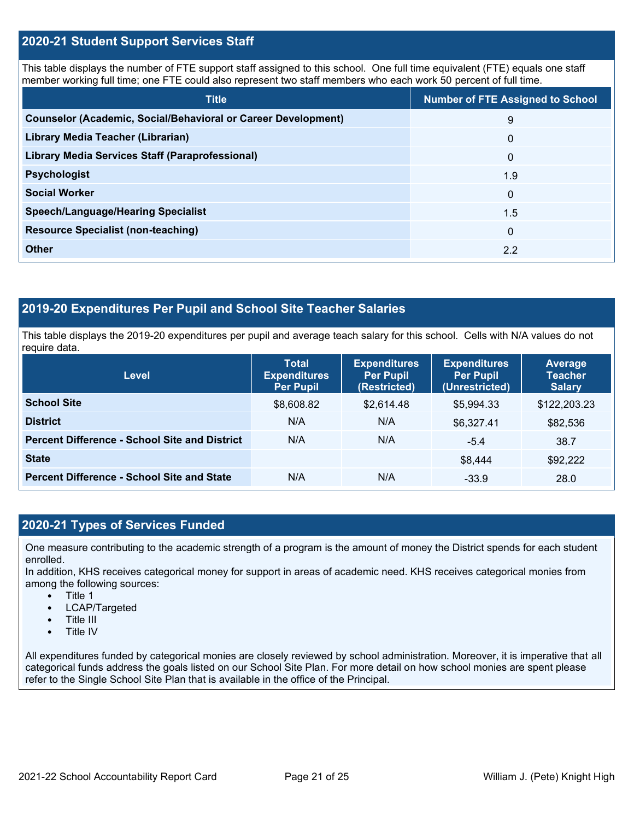#### **2020-21 Student Support Services Staff**

This table displays the number of FTE support staff assigned to this school. One full time equivalent (FTE) equals one staff member working full time; one FTE could also represent two staff members who each work 50 percent of full time.

| <b>Title</b>                                                         | <b>Number of FTE Assigned to School</b> |
|----------------------------------------------------------------------|-----------------------------------------|
| <b>Counselor (Academic, Social/Behavioral or Career Development)</b> | 9                                       |
| Library Media Teacher (Librarian)                                    | $\mathbf{0}$                            |
| Library Media Services Staff (Paraprofessional)                      | $\mathbf{0}$                            |
| <b>Psychologist</b>                                                  | 1.9                                     |
| <b>Social Worker</b>                                                 | $\mathbf{0}$                            |
| <b>Speech/Language/Hearing Specialist</b>                            | 1.5                                     |
| <b>Resource Specialist (non-teaching)</b>                            | $\mathbf{0}$                            |
| <b>Other</b>                                                         | 2.2                                     |

#### **2019-20 Expenditures Per Pupil and School Site Teacher Salaries**

This table displays the 2019-20 expenditures per pupil and average teach salary for this school. Cells with N/A values do not require data.

| <b>Level</b>                                         | <b>Total</b><br><b>Expenditures</b><br><b>Per Pupil</b> | <b>Expenditures</b><br><b>Per Pupil</b><br>(Restricted) | <b>Expenditures</b><br><b>Per Pupil</b><br>(Unrestricted) | Average<br><b>Teacher</b><br><b>Salary</b> |
|------------------------------------------------------|---------------------------------------------------------|---------------------------------------------------------|-----------------------------------------------------------|--------------------------------------------|
| <b>School Site</b>                                   | \$8,608.82                                              | \$2,614.48                                              | \$5,994.33                                                | \$122,203.23                               |
| <b>District</b>                                      | N/A                                                     | N/A                                                     | \$6,327.41                                                | \$82,536                                   |
| <b>Percent Difference - School Site and District</b> | N/A                                                     | N/A                                                     | $-5.4$                                                    | 38.7                                       |
| <b>State</b>                                         |                                                         |                                                         | \$8,444                                                   | \$92,222                                   |
| <b>Percent Difference - School Site and State</b>    | N/A                                                     | N/A                                                     | $-33.9$                                                   | 28.0                                       |

### **2020-21 Types of Services Funded**

One measure contributing to the academic strength of a program is the amount of money the District spends for each student enrolled.

In addition, KHS receives categorical money for support in areas of academic need. KHS receives categorical monies from among the following sources:

- Title 1
- LCAP/Targeted
- Title III
- Title IV

All expenditures funded by categorical monies are closely reviewed by school administration. Moreover, it is imperative that all categorical funds address the goals listed on our School Site Plan. For more detail on how school monies are spent please refer to the Single School Site Plan that is available in the office of the Principal.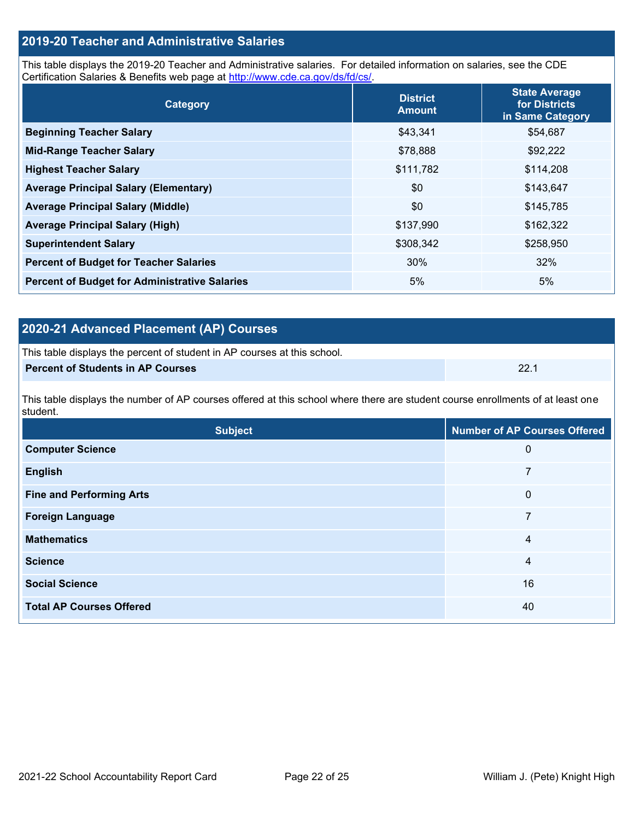## **2019-20 Teacher and Administrative Salaries**

This table displays the 2019-20 Teacher and Administrative salaries. For detailed information on salaries, see the CDE Certification Salaries & Benefits web page at [http://www.cde.ca.gov/ds/fd/cs/.](http://www.cde.ca.gov/ds/fd/cs/)

| Category                                             | <b>District</b><br><b>Amount</b> | <b>State Average</b><br>for Districts<br>in Same Category |
|------------------------------------------------------|----------------------------------|-----------------------------------------------------------|
| <b>Beginning Teacher Salary</b>                      | \$43,341                         | \$54,687                                                  |
| <b>Mid-Range Teacher Salary</b>                      | \$78,888                         | \$92,222                                                  |
| <b>Highest Teacher Salary</b>                        | \$111,782                        | \$114,208                                                 |
| <b>Average Principal Salary (Elementary)</b>         | \$0                              | \$143,647                                                 |
| <b>Average Principal Salary (Middle)</b>             | \$0                              | \$145,785                                                 |
| <b>Average Principal Salary (High)</b>               | \$137,990                        | \$162,322                                                 |
| <b>Superintendent Salary</b>                         | \$308,342                        | \$258,950                                                 |
| <b>Percent of Budget for Teacher Salaries</b>        | 30%                              | 32%                                                       |
| <b>Percent of Budget for Administrative Salaries</b> | 5%                               | 5%                                                        |

## **2020-21 Advanced Placement (AP) Courses**

| This table displays the percent of student in AP courses at this school. |      |
|--------------------------------------------------------------------------|------|
| Percent of Students in AP Courses                                        | 22.1 |

This table displays the number of AP courses offered at this school where there are student course enrollments of at least one student.

| <b>Subject</b>                  | <b>Number of AP Courses Offered</b> |
|---------------------------------|-------------------------------------|
| <b>Computer Science</b>         | 0                                   |
| <b>English</b>                  | 7                                   |
| <b>Fine and Performing Arts</b> | 0                                   |
| <b>Foreign Language</b>         | 7                                   |
| <b>Mathematics</b>              | 4                                   |
| <b>Science</b>                  | 4                                   |
| <b>Social Science</b>           | 16                                  |
| <b>Total AP Courses Offered</b> | 40                                  |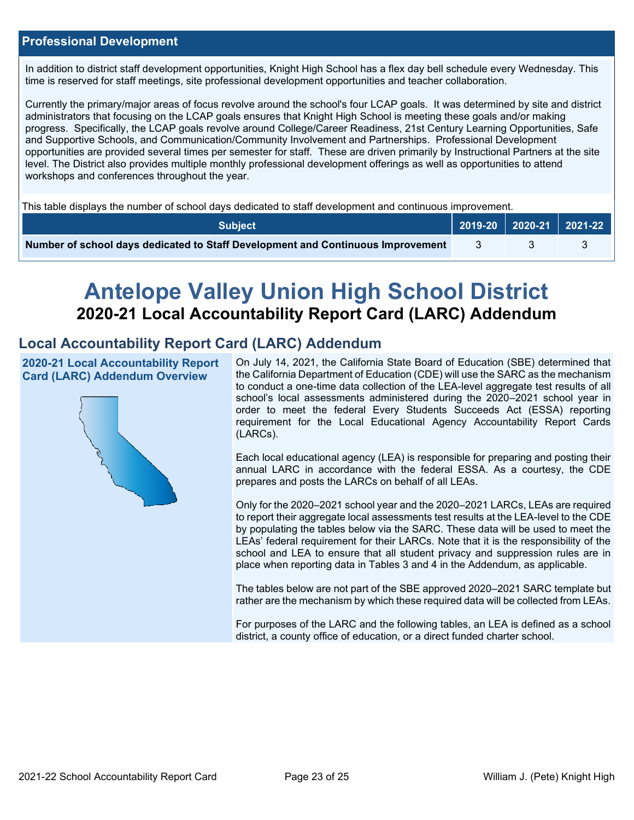#### **Professional Development**

In addition to district staff development opportunities, Knight High School has a flex day bell schedule every Wednesday. This time is reserved for staff meetings, site professional development opportunities and teacher collaboration.

Currently the primary/major areas of focus revolve around the school's four LCAP goals. It was determined by site and district administrators that focusing on the LCAP goals ensures that Knight High School is meeting these goals and/or making progress. Specifically, the LCAP goals revolve around College/Career Readiness, 21st Century Learning Opportunities, Safe and Supportive Schools, and Communication/Community Involvement and Partnerships. Professional Development opportunities are provided several times per semester for staff. These are driven primarily by Instructional Partners at the site level. The District also provides multiple monthly professional development offerings as well as opportunities to attend workshops and conferences throughout the year.

This table displays the number of school days dedicated to staff development and continuous improvement.

| <b>Subject</b>                                                                  |  | 2019-20   2020-21   2021-22 |
|---------------------------------------------------------------------------------|--|-----------------------------|
| Number of school days dedicated to Staff Development and Continuous Improvement |  |                             |

# **Antelope Valley Union High School District 2020-21 Local Accountability Report Card (LARC) Addendum**

## **Local Accountability Report Card (LARC) Addendum**

**2020-21 Local Accountability Report Card (LARC) Addendum Overview**



On July 14, 2021, the California State Board of Education (SBE) determined that the California Department of Education (CDE) will use the SARC as the mechanism to conduct a one-time data collection of the LEA-level aggregate test results of all school's local assessments administered during the 2020–2021 school year in order to meet the federal Every Students Succeeds Act (ESSA) reporting requirement for the Local Educational Agency Accountability Report Cards (LARCs).

Each local educational agency (LEA) is responsible for preparing and posting their annual LARC in accordance with the federal ESSA. As a courtesy, the CDE prepares and posts the LARCs on behalf of all LEAs.

Only for the 2020–2021 school year and the 2020–2021 LARCs, LEAs are required to report their aggregate local assessments test results at the LEA-level to the CDE by populating the tables below via the SARC. These data will be used to meet the LEAs' federal requirement for their LARCs. Note that it is the responsibility of the school and LEA to ensure that all student privacy and suppression rules are in place when reporting data in Tables 3 and 4 in the Addendum, as applicable.

The tables below are not part of the SBE approved 2020–2021 SARC template but rather are the mechanism by which these required data will be collected from LEAs.

For purposes of the LARC and the following tables, an LEA is defined as a school district, a county office of education, or a direct funded charter school.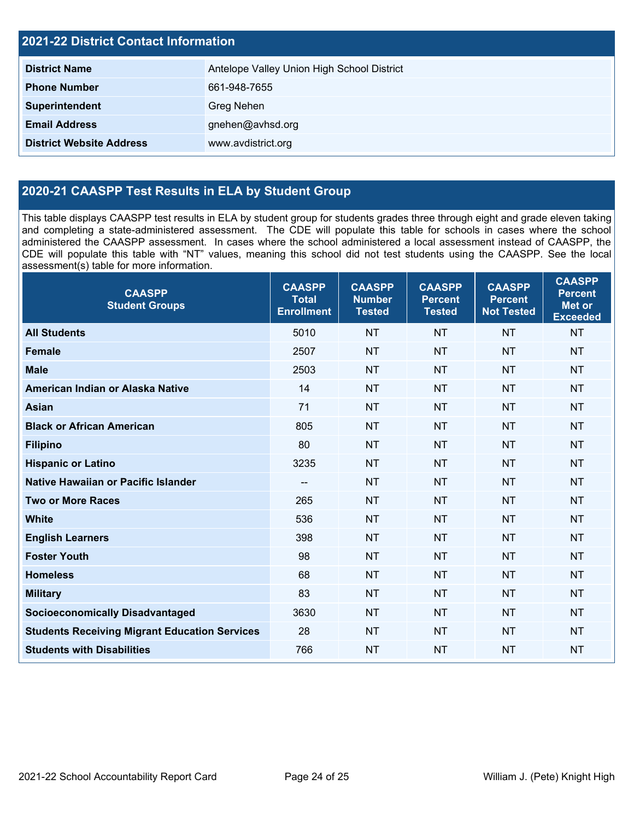| <b>2021-22 District Contact Information</b> |                                            |  |  |  |  |
|---------------------------------------------|--------------------------------------------|--|--|--|--|
| <b>District Name</b>                        | Antelope Valley Union High School District |  |  |  |  |
| <b>Phone Number</b>                         | 661-948-7655                               |  |  |  |  |
| Superintendent                              | Greg Nehen                                 |  |  |  |  |
| <b>Email Address</b>                        | gnehen@avhsd.org                           |  |  |  |  |
| <b>District Website Address</b>             | www.avdistrict.org                         |  |  |  |  |

## **2020-21 CAASPP Test Results in ELA by Student Group**

This table displays CAASPP test results in ELA by student group for students grades three through eight and grade eleven taking and completing a state-administered assessment. The CDE will populate this table for schools in cases where the school administered the CAASPP assessment. In cases where the school administered a local assessment instead of CAASPP, the CDE will populate this table with "NT" values, meaning this school did not test students using the CAASPP. See the local assessment(s) table for more information.

| <b>CAASPP</b><br><b>Student Groups</b>               | <b>CAASPP</b><br><b>Total</b><br><b>Enrollment</b> | <b>CAASPP</b><br><b>Number</b><br><b>Tested</b> | <b>CAASPP</b><br><b>Percent</b><br><b>Tested</b> | <b>CAASPP</b><br><b>Percent</b><br><b>Not Tested</b> | <b>CAASPP</b><br><b>Percent</b><br><b>Met or</b><br><b>Exceeded</b> |
|------------------------------------------------------|----------------------------------------------------|-------------------------------------------------|--------------------------------------------------|------------------------------------------------------|---------------------------------------------------------------------|
| <b>All Students</b>                                  | 5010                                               | <b>NT</b>                                       | <b>NT</b>                                        | <b>NT</b>                                            | <b>NT</b>                                                           |
| <b>Female</b>                                        | 2507                                               | <b>NT</b>                                       | <b>NT</b>                                        | <b>NT</b>                                            | <b>NT</b>                                                           |
| <b>Male</b>                                          | 2503                                               | <b>NT</b>                                       | <b>NT</b>                                        | <b>NT</b>                                            | <b>NT</b>                                                           |
| American Indian or Alaska Native                     | 14                                                 | <b>NT</b>                                       | <b>NT</b>                                        | <b>NT</b>                                            | <b>NT</b>                                                           |
| <b>Asian</b>                                         | 71                                                 | <b>NT</b>                                       | <b>NT</b>                                        | <b>NT</b>                                            | <b>NT</b>                                                           |
| <b>Black or African American</b>                     | 805                                                | <b>NT</b>                                       | <b>NT</b>                                        | <b>NT</b>                                            | <b>NT</b>                                                           |
| <b>Filipino</b>                                      | 80                                                 | <b>NT</b>                                       | <b>NT</b>                                        | <b>NT</b>                                            | <b>NT</b>                                                           |
| <b>Hispanic or Latino</b>                            | 3235                                               | <b>NT</b>                                       | <b>NT</b>                                        | <b>NT</b>                                            | <b>NT</b>                                                           |
| Native Hawaiian or Pacific Islander                  | --                                                 | <b>NT</b>                                       | <b>NT</b>                                        | <b>NT</b>                                            | <b>NT</b>                                                           |
| <b>Two or More Races</b>                             | 265                                                | <b>NT</b>                                       | <b>NT</b>                                        | <b>NT</b>                                            | <b>NT</b>                                                           |
| <b>White</b>                                         | 536                                                | <b>NT</b>                                       | <b>NT</b>                                        | <b>NT</b>                                            | <b>NT</b>                                                           |
| <b>English Learners</b>                              | 398                                                | <b>NT</b>                                       | <b>NT</b>                                        | <b>NT</b>                                            | <b>NT</b>                                                           |
| <b>Foster Youth</b>                                  | 98                                                 | <b>NT</b>                                       | <b>NT</b>                                        | <b>NT</b>                                            | <b>NT</b>                                                           |
| <b>Homeless</b>                                      | 68                                                 | <b>NT</b>                                       | <b>NT</b>                                        | <b>NT</b>                                            | <b>NT</b>                                                           |
| <b>Military</b>                                      | 83                                                 | <b>NT</b>                                       | <b>NT</b>                                        | <b>NT</b>                                            | <b>NT</b>                                                           |
| <b>Socioeconomically Disadvantaged</b>               | 3630                                               | <b>NT</b>                                       | <b>NT</b>                                        | <b>NT</b>                                            | <b>NT</b>                                                           |
| <b>Students Receiving Migrant Education Services</b> | 28                                                 | <b>NT</b>                                       | <b>NT</b>                                        | <b>NT</b>                                            | <b>NT</b>                                                           |
| <b>Students with Disabilities</b>                    | 766                                                | <b>NT</b>                                       | <b>NT</b>                                        | <b>NT</b>                                            | <b>NT</b>                                                           |